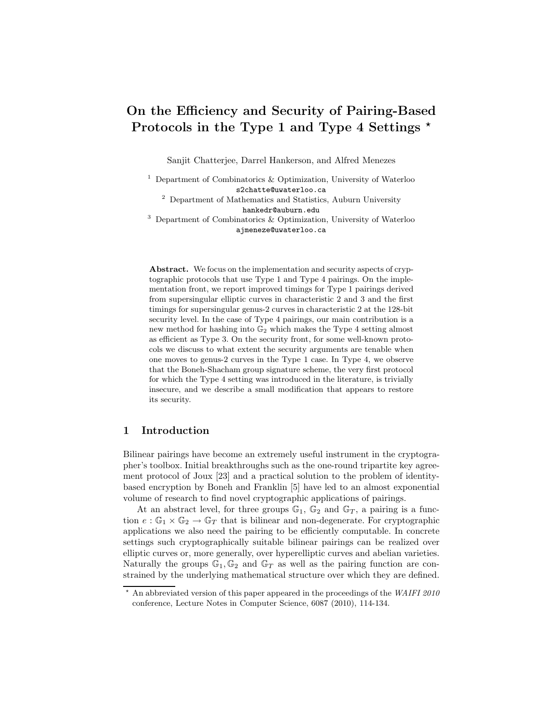# On the Efficiency and Security of Pairing-Based Protocols in the Type 1 and Type 4 Settings  $\star$

Sanjit Chatterjee, Darrel Hankerson, and Alfred Menezes

 $^1$  Department of Combinatorics  $\&$  Optimization, University of Waterloo s2chatte@uwaterloo.ca

<sup>2</sup> Department of Mathematics and Statistics, Auburn University hankedr@auburn.edu

<sup>3</sup> Department of Combinatorics & Optimization, University of Waterloo ajmeneze@uwaterloo.ca

Abstract. We focus on the implementation and security aspects of cryptographic protocols that use Type 1 and Type 4 pairings. On the implementation front, we report improved timings for Type 1 pairings derived from supersingular elliptic curves in characteristic 2 and 3 and the first timings for supersingular genus-2 curves in characteristic 2 at the 128-bit security level. In the case of Type 4 pairings, our main contribution is a new method for hashing into G<sup>2</sup> which makes the Type 4 setting almost as efficient as Type 3. On the security front, for some well-known protocols we discuss to what extent the security arguments are tenable when one moves to genus-2 curves in the Type 1 case. In Type 4, we observe that the Boneh-Shacham group signature scheme, the very first protocol for which the Type 4 setting was introduced in the literature, is trivially insecure, and we describe a small modification that appears to restore its security.

## 1 Introduction

Bilinear pairings have become an extremely useful instrument in the cryptographer's toolbox. Initial breakthroughs such as the one-round tripartite key agreement protocol of Joux [23] and a practical solution to the problem of identitybased encryption by Boneh and Franklin [5] have led to an almost exponential volume of research to find novel cryptographic applications of pairings.

At an abstract level, for three groups  $\mathbb{G}_1$ ,  $\mathbb{G}_2$  and  $\mathbb{G}_T$ , a pairing is a function  $e : \mathbb{G}_1 \times \mathbb{G}_2 \to \mathbb{G}_T$  that is bilinear and non-degenerate. For cryptographic applications we also need the pairing to be efficiently computable. In concrete settings such cryptographically suitable bilinear pairings can be realized over elliptic curves or, more generally, over hyperelliptic curves and abelian varieties. Naturally the groups  $\mathbb{G}_1, \mathbb{G}_2$  and  $\mathbb{G}_T$  as well as the pairing function are constrained by the underlying mathematical structure over which they are defined.

 $*$  An abbreviated version of this paper appeared in the proceedings of the WAIFI 2010 conference, Lecture Notes in Computer Science, 6087 (2010), 114-134.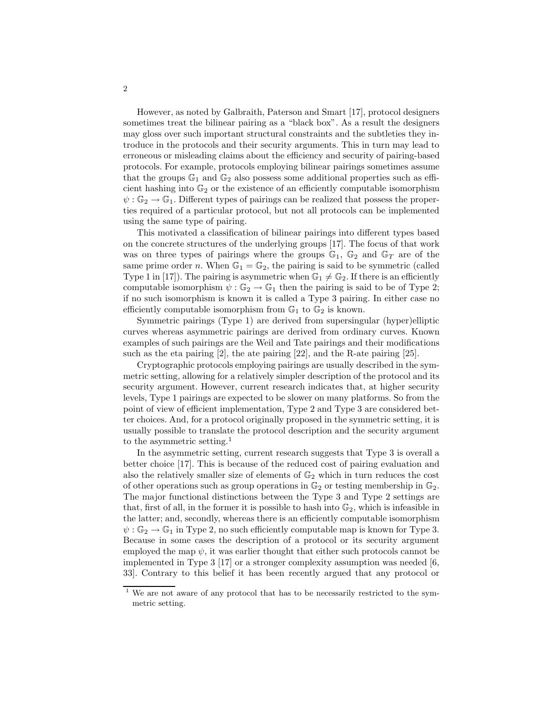However, as noted by Galbraith, Paterson and Smart [17], protocol designers sometimes treat the bilinear pairing as a "black box". As a result the designers may gloss over such important structural constraints and the subtleties they introduce in the protocols and their security arguments. This in turn may lead to erroneous or misleading claims about the efficiency and security of pairing-based protocols. For example, protocols employing bilinear pairings sometimes assume that the groups  $\mathbb{G}_1$  and  $\mathbb{G}_2$  also possess some additional properties such as efficient hashing into  $\mathbb{G}_2$  or the existence of an efficiently computable isomorphism  $\psi$ :  $\mathbb{G}_2 \to \mathbb{G}_1$ . Different types of pairings can be realized that possess the properties required of a particular protocol, but not all protocols can be implemented using the same type of pairing.

This motivated a classification of bilinear pairings into different types based on the concrete structures of the underlying groups [17]. The focus of that work was on three types of pairings where the groups  $\mathbb{G}_1$ ,  $\mathbb{G}_2$  and  $\mathbb{G}_T$  are of the same prime order n. When  $\mathbb{G}_1 = \mathbb{G}_2$ , the pairing is said to be symmetric (called Type 1 in [17]). The pairing is asymmetric when  $\mathbb{G}_1 \neq \mathbb{G}_2$ . If there is an efficiently computable isomorphism  $\psi : \mathbb{G}_2 \to \mathbb{G}_1$  then the pairing is said to be of Type 2; if no such isomorphism is known it is called a Type 3 pairing. In either case no efficiently computable isomorphism from  $\mathbb{G}_1$  to  $\mathbb{G}_2$  is known.

Symmetric pairings (Type 1) are derived from supersingular (hyper)elliptic curves whereas asymmetric pairings are derived from ordinary curves. Known examples of such pairings are the Weil and Tate pairings and their modifications such as the eta pairing [2], the ate pairing [22], and the R-ate pairing [25].

Cryptographic protocols employing pairings are usually described in the symmetric setting, allowing for a relatively simpler description of the protocol and its security argument. However, current research indicates that, at higher security levels, Type 1 pairings are expected to be slower on many platforms. So from the point of view of efficient implementation, Type 2 and Type 3 are considered better choices. And, for a protocol originally proposed in the symmetric setting, it is usually possible to translate the protocol description and the security argument to the asymmetric setting.<sup>1</sup>

In the asymmetric setting, current research suggests that Type 3 is overall a better choice [17]. This is because of the reduced cost of pairing evaluation and also the relatively smaller size of elements of  $\mathbb{G}_2$  which in turn reduces the cost of other operations such as group operations in  $\mathbb{G}_2$  or testing membership in  $\mathbb{G}_2$ . The major functional distinctions between the Type 3 and Type 2 settings are that, first of all, in the former it is possible to hash into  $\mathbb{G}_2$ , which is infeasible in the latter; and, secondly, whereas there is an efficiently computable isomorphism  $\psi$ :  $\mathbb{G}_2 \to \mathbb{G}_1$  in Type 2, no such efficiently computable map is known for Type 3. Because in some cases the description of a protocol or its security argument employed the map  $\psi$ , it was earlier thought that either such protocols cannot be implemented in Type 3 [17] or a stronger complexity assumption was needed [6, 33]. Contrary to this belief it has been recently argued that any protocol or

<sup>&</sup>lt;sup>1</sup> We are not aware of any protocol that has to be necessarily restricted to the symmetric setting.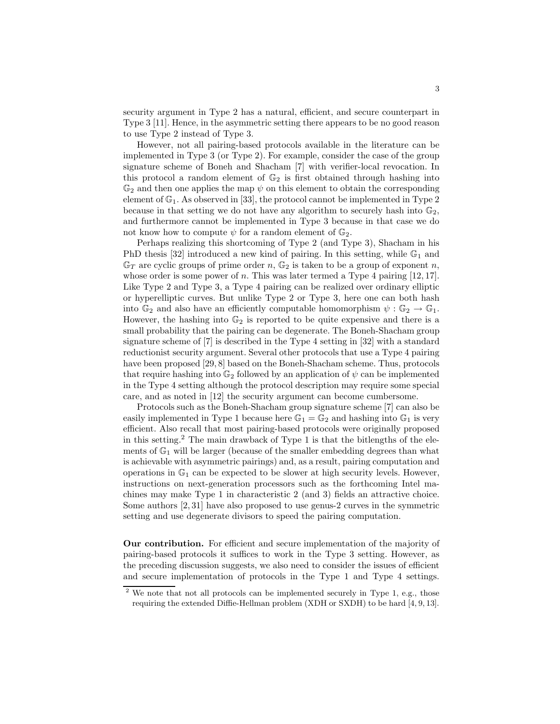security argument in Type 2 has a natural, efficient, and secure counterpart in Type 3 [11]. Hence, in the asymmetric setting there appears to be no good reason to use Type 2 instead of Type 3.

However, not all pairing-based protocols available in the literature can be implemented in Type 3 (or Type 2). For example, consider the case of the group signature scheme of Boneh and Shacham [7] with verifier-local revocation. In this protocol a random element of  $\mathbb{G}_2$  is first obtained through hashing into  $\mathbb{G}_2$  and then one applies the map  $\psi$  on this element to obtain the corresponding element of  $\mathbb{G}_1$ . As observed in [33], the protocol cannot be implemented in Type 2 because in that setting we do not have any algorithm to securely hash into  $\mathbb{G}_2$ , and furthermore cannot be implemented in Type 3 because in that case we do not know how to compute  $\psi$  for a random element of  $\mathbb{G}_2$ .

Perhaps realizing this shortcoming of Type 2 (and Type 3), Shacham in his PhD thesis [32] introduced a new kind of pairing. In this setting, while  $\mathbb{G}_1$  and  $\mathbb{G}_T$  are cyclic groups of prime order n,  $\mathbb{G}_2$  is taken to be a group of exponent n, whose order is some power of  $n$ . This was later termed a Type 4 pairing [12, 17]. Like Type 2 and Type 3, a Type 4 pairing can be realized over ordinary elliptic or hyperelliptic curves. But unlike Type 2 or Type 3, here one can both hash into  $\mathbb{G}_2$  and also have an efficiently computable homomorphism  $\psi : \mathbb{G}_2 \to \mathbb{G}_1$ . However, the hashing into  $\mathbb{G}_2$  is reported to be quite expensive and there is a small probability that the pairing can be degenerate. The Boneh-Shacham group signature scheme of [7] is described in the Type 4 setting in [32] with a standard reductionist security argument. Several other protocols that use a Type 4 pairing have been proposed [29, 8] based on the Boneh-Shacham scheme. Thus, protocols that require hashing into  $\mathbb{G}_2$  followed by an application of  $\psi$  can be implemented in the Type 4 setting although the protocol description may require some special care, and as noted in [12] the security argument can become cumbersome.

Protocols such as the Boneh-Shacham group signature scheme [7] can also be easily implemented in Type 1 because here  $\mathbb{G}_1 = \mathbb{G}_2$  and hashing into  $\mathbb{G}_1$  is very efficient. Also recall that most pairing-based protocols were originally proposed in this setting.<sup>2</sup> The main drawback of Type 1 is that the bitlengths of the elements of  $\mathbb{G}_1$  will be larger (because of the smaller embedding degrees than what is achievable with asymmetric pairings) and, as a result, pairing computation and operations in  $\mathbb{G}_1$  can be expected to be slower at high security levels. However, instructions on next-generation processors such as the forthcoming Intel machines may make Type 1 in characteristic 2 (and 3) fields an attractive choice. Some authors [2, 31] have also proposed to use genus-2 curves in the symmetric setting and use degenerate divisors to speed the pairing computation.

Our contribution. For efficient and secure implementation of the majority of pairing-based protocols it suffices to work in the Type 3 setting. However, as the preceding discussion suggests, we also need to consider the issues of efficient and secure implementation of protocols in the Type 1 and Type 4 settings.

<sup>&</sup>lt;sup>2</sup> We note that not all protocols can be implemented securely in Type 1, e.g., those requiring the extended Diffie-Hellman problem (XDH or SXDH) to be hard [4, 9, 13].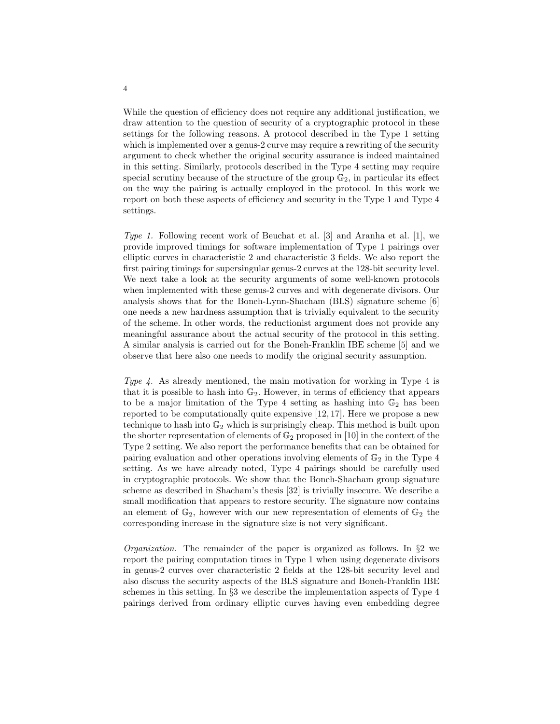While the question of efficiency does not require any additional justification, we draw attention to the question of security of a cryptographic protocol in these settings for the following reasons. A protocol described in the Type 1 setting which is implemented over a genus-2 curve may require a rewriting of the security argument to check whether the original security assurance is indeed maintained in this setting. Similarly, protocols described in the Type 4 setting may require special scrutiny because of the structure of the group  $\mathbb{G}_2$ , in particular its effect on the way the pairing is actually employed in the protocol. In this work we report on both these aspects of efficiency and security in the Type 1 and Type 4 settings.

Type 1. Following recent work of Beuchat et al. [3] and Aranha et al. [1], we provide improved timings for software implementation of Type 1 pairings over elliptic curves in characteristic 2 and characteristic 3 fields. We also report the first pairing timings for supersingular genus-2 curves at the 128-bit security level. We next take a look at the security arguments of some well-known protocols when implemented with these genus-2 curves and with degenerate divisors. Our analysis shows that for the Boneh-Lynn-Shacham (BLS) signature scheme [6] one needs a new hardness assumption that is trivially equivalent to the security of the scheme. In other words, the reductionist argument does not provide any meaningful assurance about the actual security of the protocol in this setting. A similar analysis is carried out for the Boneh-Franklin IBE scheme [5] and we observe that here also one needs to modify the original security assumption.

Type 4. As already mentioned, the main motivation for working in Type 4 is that it is possible to hash into  $\mathbb{G}_2$ . However, in terms of efficiency that appears to be a major limitation of the Type 4 setting as hashing into  $\mathbb{G}_2$  has been reported to be computationally quite expensive [12, 17]. Here we propose a new technique to hash into  $\mathbb{G}_2$  which is surprisingly cheap. This method is built upon the shorter representation of elements of  $\mathbb{G}_2$  proposed in [10] in the context of the Type 2 setting. We also report the performance benefits that can be obtained for pairing evaluation and other operations involving elements of  $\mathbb{G}_2$  in the Type 4 setting. As we have already noted, Type 4 pairings should be carefully used in cryptographic protocols. We show that the Boneh-Shacham group signature scheme as described in Shacham's thesis [32] is trivially insecure. We describe a small modification that appears to restore security. The signature now contains an element of  $\mathbb{G}_2$ , however with our new representation of elements of  $\mathbb{G}_2$  the corresponding increase in the signature size is not very significant.

*Organization*. The remainder of the paper is organized as follows. In  $\S2$  we report the pairing computation times in Type 1 when using degenerate divisors in genus-2 curves over characteristic 2 fields at the 128-bit security level and also discuss the security aspects of the BLS signature and Boneh-Franklin IBE schemes in this setting. In §3 we describe the implementation aspects of Type 4 pairings derived from ordinary elliptic curves having even embedding degree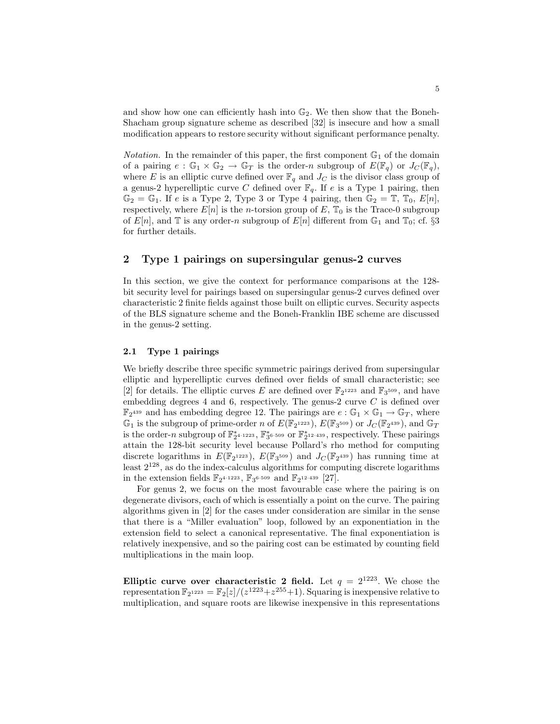and show how one can efficiently hash into  $\mathbb{G}_2$ . We then show that the Boneh-Shacham group signature scheme as described [32] is insecure and how a small modification appears to restore security without significant performance penalty.

*Notation*. In the remainder of this paper, the first component  $\mathbb{G}_1$  of the domain of a pairing  $e : \mathbb{G}_1 \times \mathbb{G}_2 \to \mathbb{G}_T$  is the order-n subgroup of  $E(\mathbb{F}_q)$  or  $J_C(\mathbb{F}_q)$ , where E is an elliptic curve defined over  $\mathbb{F}_q$  and  $J_C$  is the divisor class group of a genus-2 hyperelliptic curve C defined over  $\mathbb{F}_q$ . If e is a Type 1 pairing, then  $\mathbb{G}_2 = \mathbb{G}_1$ . If e is a Type 2, Type 3 or Type 4 pairing, then  $\mathbb{G}_2 = \mathbb{T}$ ,  $\mathbb{T}_0$ ,  $E[n]$ , respectively, where  $E[n]$  is the *n*-torsion group of E,  $\mathbb{T}_0$  is the Trace-0 subgroup of  $E[n]$ , and  $\mathbb T$  is any order-n subgroup of  $E[n]$  different from  $\mathbb G_1$  and  $\mathbb T_0$ ; cf. §3 for further details.

## 2 Type 1 pairings on supersingular genus-2 curves

In this section, we give the context for performance comparisons at the 128 bit security level for pairings based on supersingular genus-2 curves defined over characteristic 2 finite fields against those built on elliptic curves. Security aspects of the BLS signature scheme and the Boneh-Franklin IBE scheme are discussed in the genus-2 setting.

## 2.1 Type 1 pairings

We briefly describe three specific symmetric pairings derived from supersingular elliptic and hyperelliptic curves defined over fields of small characteristic; see [2] for details. The elliptic curves E are defined over  $\mathbb{F}_2$ <sup>1223</sup> and  $\mathbb{F}_3$ <sup>509</sup>, and have embedding degrees 4 and 6, respectively. The genus-2 curve  $C$  is defined over  $\mathbb{F}_2^{439}$  and has embedding degree 12. The pairings are  $e : \mathbb{G}_1 \times \mathbb{G}_1 \to \mathbb{G}_T$ , where  $\mathbb{G}_1$  is the subgroup of prime-order n of  $E(\mathbb{F}_2^{1223})$ ,  $E(\mathbb{F}_3^{509})$  or  $J_C(\mathbb{F}_2^{439})$ , and  $\mathbb{G}_T$ is the order-n subgroup of  $\mathbb{F}_2^*$ <sup>4.1223</sup>,  $\mathbb{F}_3^*$ <sup>6.509</sup> or  $\mathbb{F}_2^*$ <sup>12.439</sup>, respectively. These pairings attain the 128-bit security level because Pollard's rho method for computing discrete logarithms in  $E(\mathbb{F}_2^{1223})$ ,  $E(\mathbb{F}_3^{509})$  and  $J_C(\mathbb{F}_2^{439})$  has running time at least  $2^{128}$ , as do the index-calculus algorithms for computing discrete logarithms in the extension fields  $\mathbb{F}_{2^{4 \cdot 1223}}$ ,  $\mathbb{F}_{3^{6 \cdot 509}}$  and  $\mathbb{F}_{2^{12 \cdot 439}}$  [27].

For genus 2, we focus on the most favourable case where the pairing is on degenerate divisors, each of which is essentially a point on the curve. The pairing algorithms given in [2] for the cases under consideration are similar in the sense that there is a "Miller evaluation" loop, followed by an exponentiation in the extension field to select a canonical representative. The final exponentiation is relatively inexpensive, and so the pairing cost can be estimated by counting field multiplications in the main loop.

Elliptic curve over characteristic 2 field. Let  $q = 2^{1223}$ . We chose the representation  $\mathbb{F}_2$ <sup>1223</sup> =  $\mathbb{F}_2[z]/(z^{1223}+z^{255}+1)$ . Squaring is inexpensive relative to multiplication, and square roots are likewise inexpensive in this representations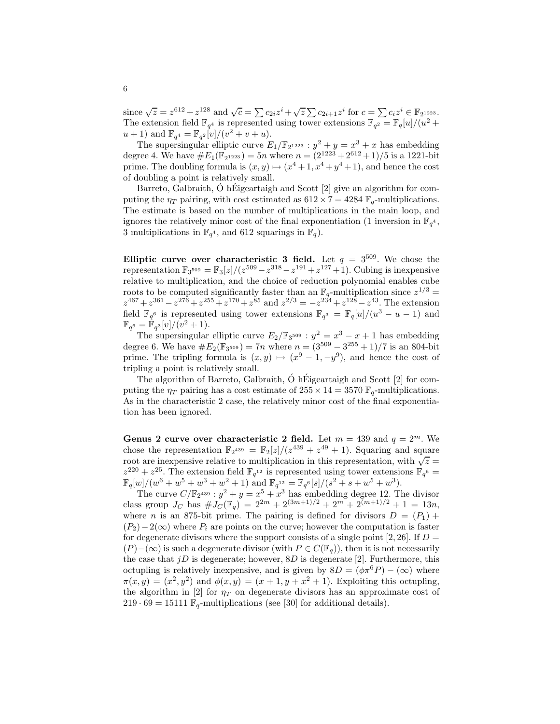since  $\sqrt{z} = z^{612} + z^{128}$  and  $\sqrt{c} = \sum c_{2i} z^i + \sqrt{z} \sum c_{2i+1} z^i$  for  $c = \sum c_i z^i \in \mathbb{F}_{2^{1223}}$ . The extension field  $\mathbb{F}_{q^4}$  is represented using tower extensions  $\mathbb{F}_{q^2} = \mathbb{F}_q[u]/(u^2 +$  $u + 1$ ) and  $\mathbb{F}_{q^4} = \mathbb{F}_{q^2}[v]/(v^2 + v + u)$ .

The supersingular elliptic curve  $E_1/\mathbb{F}_2$ <sup>1223</sup> :  $y^2 + y = x^3 + x$  has embedding degree 4. We have  $#E_1(\mathbb{F}_{2^{1223}}) = 5n$  where  $n = (2^{1223} + 2^{612} + 1)/5$  is a 1221-bit prime. The doubling formula is  $(x, y) \mapsto (x^4 + 1, x^4 + y^4 + 1)$ , and hence the cost of doubling a point is relatively small.

Barreto, Galbraith,  $\acute{O}$  h Eigeartaigh and Scott [2] give an algorithm for computing the  $\eta_T$  pairing, with cost estimated as  $612 \times 7 = 4284 \text{ F}_q$ -multiplications. The estimate is based on the number of multiplications in the main loop, and ignores the relatively minor cost of the final exponentiation (1 inversion in  $\mathbb{F}_{q^4}$ , 3 multiplications in  $\mathbb{F}_{q^4}$ , and 612 squarings in  $\mathbb{F}_q$ ).

Elliptic curve over characteristic 3 field. Let  $q = 3^{509}$ . We chose the representation  $\mathbb{F}_3$ <sup>509</sup> =  $\mathbb{F}_3[z]/(z^{509} - z^{318} - z^{191} + z^{127} + 1)$ . Cubing is inexpensive relative to multiplication, and the choice of reduction polynomial enables cube roots to be computed significantly faster than an  $\mathbb{F}_q$ -multiplication since  $z^{1/3} =$  $z^{467} + z^{361} - z^{276} + z^{255} + z^{170} + z^{85}$  and  $z^{2/3} = -z^{234} + z^{128} - z^{43}$ . The extension field  $\mathbb{F}_{q^6}$  is represented using tower extensions  $\mathbb{F}_{q^3} = \mathbb{F}_{q}[u]/(u^3 - u - 1)$  and  $\mathbb{F}_{q^6} = \mathbb{F}_{q^3}[v]/(v^2+1).$ 

The supersingular elliptic curve  $E_2/\mathbb{F}_3$ <sup>509</sup> :  $y^2 = x^3 - x + 1$  has embedding degree 6. We have  $\#E_2(\mathbb{F}_{3^{509}}) = 7n$  where  $n = (3^{509} - 3^{255} + 1)/7$  is an 804-bit prime. The tripling formula is  $(x, y) \mapsto (x^9 - 1, -y^9)$ , and hence the cost of tripling a point is relatively small.

The algorithm of Barreto, Galbraith,  $\acute{O}$  h Eigeartaigh and Scott [2] for computing the  $\eta_T$  pairing has a cost estimate of  $255 \times 14 = 3570 \text{ F}_q$ -multiplications. As in the characteristic 2 case, the relatively minor cost of the final exponentiation has been ignored.

Genus 2 curve over characteristic 2 field. Let  $m = 439$  and  $q = 2^m$ . We chose the representation  $\mathbb{F}_2^{439} = \mathbb{F}_2[z]/(z^{439} + z^{49} + 1)$ . Squaring and square root are inexpensive relative to multiplication in this representation, with  $\sqrt{z} =$  $z^{220} + z^{25}$ . The extension field  $\mathbb{F}_{q^{12}}$  is represented using tower extensions  $\mathbb{F}_{q^6}$  =  $\mathbb{F}_q[w]/(w^6+w^5+w^3+w^2+1)$  and  $\mathbb{F}_{q^{12}} = \mathbb{F}_{q^6}[s]/(s^2+s+w^5+w^3)$ .

The curve  $C/\mathbb{F}_{2^{439}}: y^2 + y = x^5 + x^3$  has embedding degree 12. The divisor class group  $J_C$  has  $\# J_C(\mathbb{F}_q) = 2^{2m} + 2^{(3m+1)/2} + 2^m + 2^{(m+1)/2} + 1 = 13n$ , where n is an 875-bit prime. The pairing is defined for divisors  $D = (P_1) +$  $(P_2)-2(\infty)$  where  $P_i$  are points on the curve; however the computation is faster for degenerate divisors where the support consists of a single point  $[2, 26]$ . If  $D =$  $(P)-(\infty)$  is such a degenerate divisor (with  $P \in C(\mathbb{F}_q)$ ), then it is not necessarily the case that  $jD$  is degenerate; however,  $8D$  is degenerate [2]. Furthermore, this octupling is relatively inexpensive, and is given by  $8D = (\phi \pi^6 P) - (\infty)$  where  $\pi(x,y) = (x^2, y^2)$  and  $\phi(x,y) = (x+1, y+x^2+1)$ . Exploiting this octupling, the algorithm in [2] for  $\eta_T$  on degenerate divisors has an approximate cost of 219 · 69 = 15111  $\mathbb{F}_q$ -multiplications (see [30] for additional details).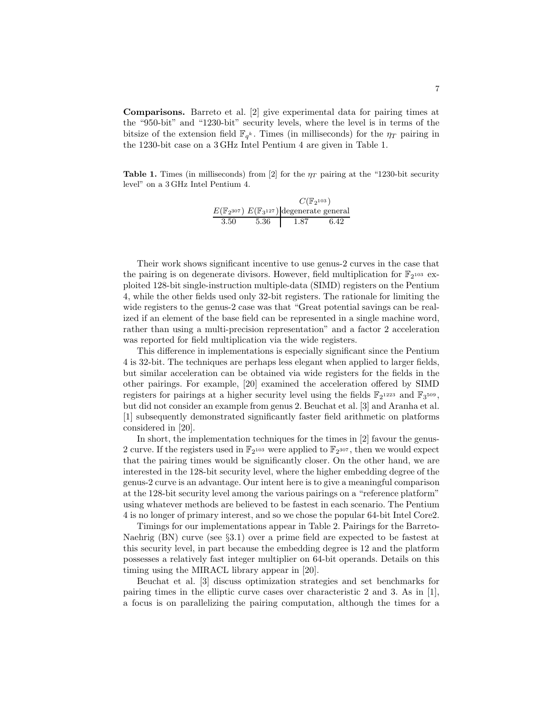Comparisons. Barreto et al. [2] give experimental data for pairing times at the "950-bit" and "1230-bit" security levels, where the level is in terms of the bitsize of the extension field  $\mathbb{F}_{q^k}$ . Times (in milliseconds) for the  $\eta_T$  pairing in the 1230-bit case on a 3 GHz Intel Pentium 4 are given in Table 1.

**Table 1.** Times (in milliseconds) from [2] for the  $\eta_T$  pairing at the "1230-bit security level" on a 3 GHz Intel Pentium 4.

|      | $C(\mathbb{F}_2^{103})$ |                                                                      |      |
|------|-------------------------|----------------------------------------------------------------------|------|
|      |                         | $E(\mathbb{F}_{2^{307}}) E(\mathbb{F}_{3^{127}})$ degenerate general |      |
| 3.50 | 5.36                    | -1.87                                                                | 6.42 |

Their work shows significant incentive to use genus-2 curves in the case that the pairing is on degenerate divisors. However, field multiplication for  $\mathbb{F}_2$ <sup>103</sup> exploited 128-bit single-instruction multiple-data (SIMD) registers on the Pentium 4, while the other fields used only 32-bit registers. The rationale for limiting the wide registers to the genus-2 case was that "Great potential savings can be realized if an element of the base field can be represented in a single machine word, rather than using a multi-precision representation" and a factor 2 acceleration was reported for field multiplication via the wide registers.

This difference in implementations is especially significant since the Pentium 4 is 32-bit. The techniques are perhaps less elegant when applied to larger fields, but similar acceleration can be obtained via wide registers for the fields in the other pairings. For example, [20] examined the acceleration offered by SIMD registers for pairings at a higher security level using the fields  $\mathbb{F}_2$ <sup>1223</sup> and  $\mathbb{F}_3$ <sup>509</sup>, but did not consider an example from genus 2. Beuchat et al. [3] and Aranha et al. [1] subsequently demonstrated significantly faster field arithmetic on platforms considered in [20].

In short, the implementation techniques for the times in [2] favour the genus-2 curve. If the registers used in  $\mathbb{F}_2$ <sup>103</sup> were applied to  $\mathbb{F}_2$ <sup>307</sup>, then we would expect that the pairing times would be significantly closer. On the other hand, we are interested in the 128-bit security level, where the higher embedding degree of the genus-2 curve is an advantage. Our intent here is to give a meaningful comparison at the 128-bit security level among the various pairings on a "reference platform" using whatever methods are believed to be fastest in each scenario. The Pentium 4 is no longer of primary interest, and so we chose the popular 64-bit Intel Core2.

Timings for our implementations appear in Table 2. Pairings for the Barreto-Naehrig (BN) curve (see §3.1) over a prime field are expected to be fastest at this security level, in part because the embedding degree is 12 and the platform possesses a relatively fast integer multiplier on 64-bit operands. Details on this timing using the MIRACL library appear in [20].

Beuchat et al. [3] discuss optimization strategies and set benchmarks for pairing times in the elliptic curve cases over characteristic 2 and 3. As in [1], a focus is on parallelizing the pairing computation, although the times for a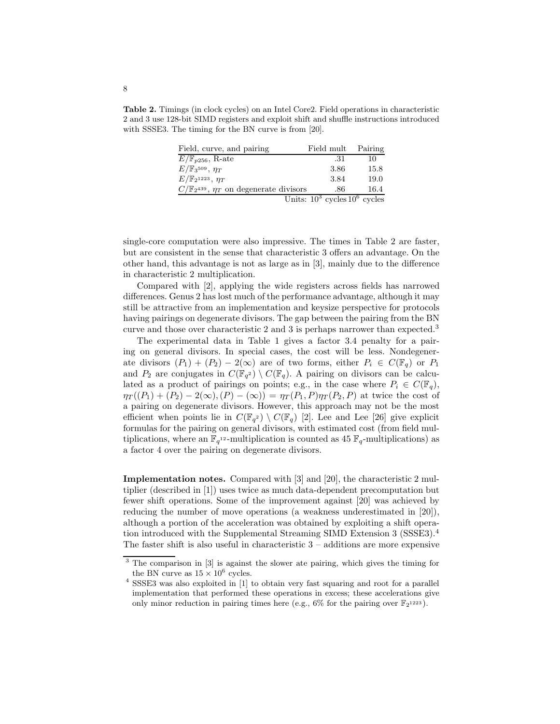Table 2. Timings (in clock cycles) on an Intel Core2. Field operations in characteristic 2 and 3 use 128-bit SIMD registers and exploit shift and shuffle instructions introduced with SSSE3. The timing for the BN curve is from [20].

| Field, curve, and pairing                                  | Field mult                         | Pairing |
|------------------------------------------------------------|------------------------------------|---------|
| $E/\mathbb{F}_{p256}$ , R-ate                              | .31                                | 10      |
| $E/\mathbb{F}_3$ <sup>509</sup> , $\eta_T$                 | 3.86                               | 15.8    |
| $E/\mathbb{F}_2$ <sup>1223</sup> , $\eta_T$                | 3.84                               | 19.0    |
| $C/\mathbb{F}_{2}^{439}$ , $\eta_T$ on degenerate divisors | .86                                | 16.4    |
|                                                            | Units: $10^3$ cycles $10^6$ cycles |         |

single-core computation were also impressive. The times in Table 2 are faster, but are consistent in the sense that characteristic 3 offers an advantage. On the other hand, this advantage is not as large as in [3], mainly due to the difference in characteristic 2 multiplication.

Compared with [2], applying the wide registers across fields has narrowed differences. Genus 2 has lost much of the performance advantage, although it may still be attractive from an implementation and keysize perspective for protocols having pairings on degenerate divisors. The gap between the pairing from the BN curve and those over characteristic 2 and 3 is perhaps narrower than expected.<sup>3</sup>

The experimental data in Table 1 gives a factor 3.4 penalty for a pairing on general divisors. In special cases, the cost will be less. Nondegenerate divisors  $(P_1) + (P_2) - 2(\infty)$  are of two forms, either  $P_i \in C(\mathbb{F}_q)$  or  $P_1$ and  $P_2$  are conjugates in  $C(\mathbb{F}_{q^2}) \setminus C(\mathbb{F}_{q})$ . A pairing on divisors can be calculated as a product of pairings on points; e.g., in the case where  $P_i \in C(\mathbb{F}_q)$ ,  $\eta_T((P_1) + (P_2) - 2(\infty), (P) - (\infty)) = \eta_T(P_1, P)\eta_T(P_2, P)$  at twice the cost of a pairing on degenerate divisors. However, this approach may not be the most efficient when points lie in  $C(\mathbb{F}_{q^2}) \setminus C(\mathbb{F}_{q})$  [2]. Lee and Lee [26] give explicit formulas for the pairing on general divisors, with estimated cost (from field multiplications, where an  $\mathbb{F}_{q^{12}}$ -multiplication is counted as 45  $\mathbb{F}_{q}$ -multiplications) as a factor 4 over the pairing on degenerate divisors.

Implementation notes. Compared with [3] and [20], the characteristic 2 multiplier (described in [1]) uses twice as much data-dependent precomputation but fewer shift operations. Some of the improvement against [20] was achieved by reducing the number of move operations (a weakness underestimated in [20]), although a portion of the acceleration was obtained by exploiting a shift operation introduced with the Supplemental Streaming SIMD Extension 3 (SSSE3).<sup>4</sup> The faster shift is also useful in characteristic  $3$  – additions are more expensive

<sup>3</sup> The comparison in [3] is against the slower ate pairing, which gives the timing for the BN curve as  $15 \times 10^6$  cycles.

<sup>4</sup> SSSE3 was also exploited in [1] to obtain very fast squaring and root for a parallel implementation that performed these operations in excess; these accelerations give only minor reduction in pairing times here (e.g.,  $6\%$  for the pairing over  $\mathbb{F}_2$ <sup>1223</sup>).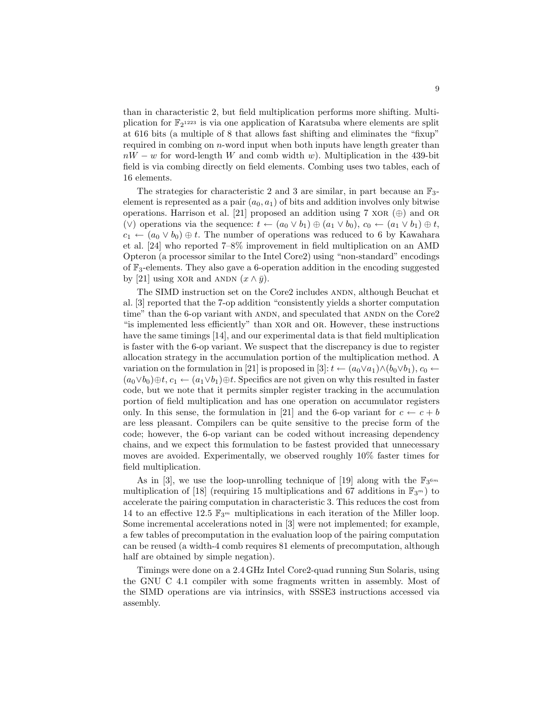than in characteristic 2, but field multiplication performs more shifting. Multiplication for  $\mathbb{F}_2$ <sup>1223</sup> is via one application of Karatsuba where elements are split at 616 bits (a multiple of 8 that allows fast shifting and eliminates the "fixup" required in combing on  $n$ -word input when both inputs have length greater than  $nW - w$  for word-length W and comb width w). Multiplication in the 439-bit field is via combing directly on field elements. Combing uses two tables, each of 16 elements.

The strategies for characteristic 2 and 3 are similar, in part because an  $\mathbb{F}_3$ element is represented as a pair  $(a_0, a_1)$  of bits and addition involves only bitwise operations. Harrison et al. [21] proposed an addition using 7 xor  $(\oplus)$  and or (∨) operations via the sequence:  $t \leftarrow (a_0 \vee b_1) \oplus (a_1 \vee b_0), c_0 \leftarrow (a_1 \vee b_1) \oplus t$ ,  $c_1 \leftarrow (a_0 \vee b_0) \oplus t$ . The number of operations was reduced to 6 by Kawahara et al. [24] who reported 7–8% improvement in field multiplication on an AMD Opteron (a processor similar to the Intel Core2) using "non-standard" encodings of F3-elements. They also gave a 6-operation addition in the encoding suggested by [21] using XOR and ANDN  $(x \wedge \bar{y})$ .

The SIMD instruction set on the Core2 includes ANDN, although Beuchat et al. [3] reported that the 7-op addition "consistently yields a shorter computation time" than the 6-op variant with ANDN, and speculated that ANDN on the  $\text{Core2}$ "is implemented less efficiently" than xor and or. However, these instructions have the same timings [14], and our experimental data is that field multiplication is faster with the 6-op variant. We suspect that the discrepancy is due to register allocation strategy in the accumulation portion of the multiplication method. A variation on the formulation in [21] is proposed in [3]:  $t \leftarrow (a_0 \vee a_1) \wedge (b_0 \vee b_1), c_0 \leftarrow$  $(a_0 \vee b_0) \oplus t$ ,  $c_1 \leftarrow (a_1 \vee b_1) \oplus t$ . Specifics are not given on why this resulted in faster code, but we note that it permits simpler register tracking in the accumulation portion of field multiplication and has one operation on accumulator registers only. In this sense, the formulation in [21] and the 6-op variant for  $c \leftarrow c + b$ are less pleasant. Compilers can be quite sensitive to the precise form of the code; however, the 6-op variant can be coded without increasing dependency chains, and we expect this formulation to be fastest provided that unnecessary moves are avoided. Experimentally, we observed roughly 10% faster times for field multiplication.

As in [3], we use the loop-unrolling technique of [19] along with the  $\mathbb{F}_3$ <sup>6m</sup> multiplication of [18] (requiring 15 multiplications and 67 additions in  $\mathbb{F}_{3^m}$ ) to accelerate the pairing computation in characteristic 3. This reduces the cost from 14 to an effective 12.5  $\mathbb{F}_{3^m}$  multiplications in each iteration of the Miller loop. Some incremental accelerations noted in [3] were not implemented; for example, a few tables of precomputation in the evaluation loop of the pairing computation can be reused (a width-4 comb requires 81 elements of precomputation, although half are obtained by simple negation).

Timings were done on a 2.4 GHz Intel Core2-quad running Sun Solaris, using the GNU C 4.1 compiler with some fragments written in assembly. Most of the SIMD operations are via intrinsics, with SSSE3 instructions accessed via assembly.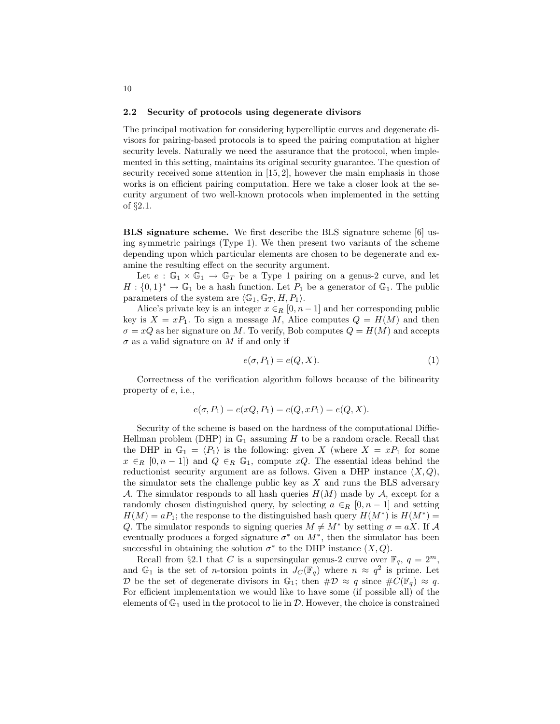#### 2.2 Security of protocols using degenerate divisors

The principal motivation for considering hyperelliptic curves and degenerate divisors for pairing-based protocols is to speed the pairing computation at higher security levels. Naturally we need the assurance that the protocol, when implemented in this setting, maintains its original security guarantee. The question of security received some attention in [15, 2], however the main emphasis in those works is on efficient pairing computation. Here we take a closer look at the security argument of two well-known protocols when implemented in the setting of §2.1.

BLS signature scheme. We first describe the BLS signature scheme [6] using symmetric pairings (Type 1). We then present two variants of the scheme depending upon which particular elements are chosen to be degenerate and examine the resulting effect on the security argument.

Let  $e : \mathbb{G}_1 \times \mathbb{G}_1 \to \mathbb{G}_T$  be a Type 1 pairing on a genus-2 curve, and let  $H: \{0,1\}^* \to \mathbb{G}_1$  be a hash function. Let  $P_1$  be a generator of  $\mathbb{G}_1$ . The public parameters of the system are  $\langle \mathbb{G}_1, \mathbb{G}_T, H, P_1 \rangle$ .

Alice's private key is an integer  $x \in_R [0, n-1]$  and her corresponding public key is  $X = xP_1$ . To sign a message M, Alice computes  $Q = H(M)$  and then  $\sigma = xQ$  as her signature on M. To verify, Bob computes  $Q = H(M)$  and accepts  $\sigma$  as a valid signature on M if and only if

$$
e(\sigma, P_1) = e(Q, X). \tag{1}
$$

Correctness of the verification algorithm follows because of the bilinearity property of e, i.e.,

$$
e(\sigma, P_1) = e(xQ, P_1) = e(Q, xP_1) = e(Q, X).
$$

Security of the scheme is based on the hardness of the computational Diffie-Hellman problem (DHP) in  $\mathbb{G}_1$  assuming H to be a random oracle. Recall that the DHP in  $\mathbb{G}_1 = \langle P_1 \rangle$  is the following: given X (where  $X = xP_1$  for some  $x \in_R [0, n-1]$  and  $Q \in_R \mathbb{G}_1$ , compute  $xQ$ . The essential ideas behind the reductionist security argument are as follows. Given a DHP instance  $(X, Q)$ , the simulator sets the challenge public key as  $X$  and runs the BLS adversary A. The simulator responds to all hash queries  $H(M)$  made by A, except for a randomly chosen distinguished query, by selecting  $a \in_R [0, n-1]$  and setting  $H(M) = aP_1$ ; the response to the distinguished hash query  $H(M^*)$  is  $H(M^*) =$ Q. The simulator responds to signing queries  $M \neq M^*$  by setting  $\sigma = aX$ . If A eventually produces a forged signature  $\sigma^*$  on  $M^*$ , then the simulator has been successful in obtaining the solution  $\sigma^*$  to the DHP instance  $(X, Q)$ .

Recall from §2.1 that C is a supersingular genus-2 curve over  $\mathbb{F}_q$ ,  $q = 2^m$ , and  $\mathbb{G}_1$  is the set of *n*-torsion points in  $J_C(\mathbb{F}_q)$  where  $n \approx q^2$  is prime. Let D be the set of degenerate divisors in  $\mathbb{G}_1$ ; then  $\#\mathcal{D} \approx q$  since  $\#\mathcal{C}(\mathbb{F}_q) \approx q$ . For efficient implementation we would like to have some (if possible all) of the elements of  $\mathbb{G}_1$  used in the protocol to lie in  $\mathcal{D}$ . However, the choice is constrained

10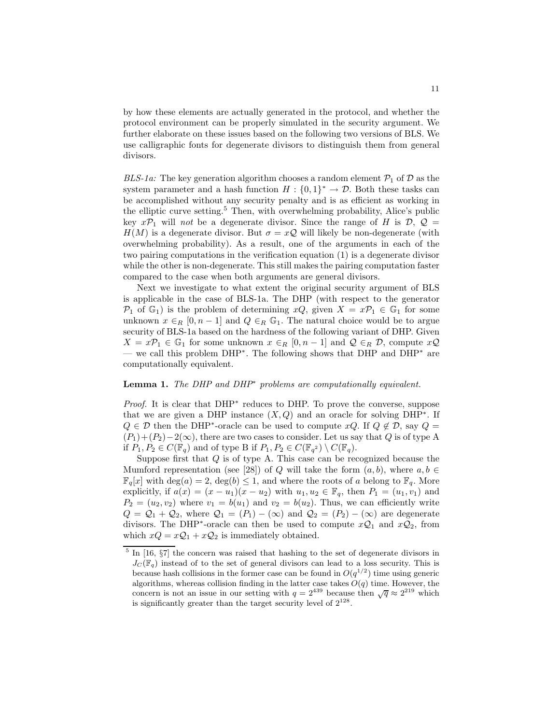by how these elements are actually generated in the protocol, and whether the protocol environment can be properly simulated in the security argument. We further elaborate on these issues based on the following two versions of BLS. We use calligraphic fonts for degenerate divisors to distinguish them from general divisors.

BLS-1a: The key generation algorithm chooses a random element  $P_1$  of D as the system parameter and a hash function  $H: \{0,1\}^* \to \mathcal{D}$ . Both these tasks can be accomplished without any security penalty and is as efficient as working in the elliptic curve setting.<sup>5</sup> Then, with overwhelming probability, Alice's public key  $x\mathcal{P}_1$  will not be a degenerate divisor. Since the range of H is  $\mathcal{D}, \mathcal{Q} =$  $H(M)$  is a degenerate divisor. But  $\sigma = xQ$  will likely be non-degenerate (with overwhelming probability). As a result, one of the arguments in each of the two pairing computations in the verification equation (1) is a degenerate divisor while the other is non-degenerate. This still makes the pairing computation faster compared to the case when both arguments are general divisors.

Next we investigate to what extent the original security argument of BLS is applicable in the case of BLS-1a. The DHP (with respect to the generator  $\mathcal{P}_1$  of  $\mathbb{G}_1$ ) is the problem of determining  $xQ$ , given  $X = x\mathcal{P}_1 \in \mathbb{G}_1$  for some unknown  $x \in_R [0, n-1]$  and  $Q \in_R \mathbb{G}_1$ . The natural choice would be to argue security of BLS-1a based on the hardness of the following variant of DHP. Given  $X = xP_1 \in \mathbb{G}_1$  for some unknown  $x \in_R [0, n-1]$  and  $\mathcal{Q} \in_R \mathcal{D}$ , compute  $x\mathcal{Q}$ — we call this problem DHP<sup>∗</sup> . The following shows that DHP and DHP<sup>∗</sup> are computationally equivalent.

## **Lemma 1.** The DHP and DHP<sup>\*</sup> problems are computationally equivalent.

*Proof.* It is clear that DHP<sup>\*</sup> reduces to DHP. To prove the converse, suppose that we are given a DHP instance  $(X, Q)$  and an oracle for solving DHP<sup>\*</sup>. If  $Q \in \mathcal{D}$  then the DHP<sup>\*</sup>-oracle can be used to compute  $xQ$ . If  $Q \notin \mathcal{D}$ , say  $Q =$  $(P_1)+(P_2)-2(\infty)$ , there are two cases to consider. Let us say that Q is of type A if  $P_1, P_2 \in C(\mathbb{F}_q)$  and of type B if  $P_1, P_2 \in C(\mathbb{F}_{q^2}) \setminus C(\mathbb{F}_q)$ .

Suppose first that  $Q$  is of type A. This case can be recognized because the Mumford representation (see [28]) of Q will take the form  $(a, b)$ , where  $a, b \in \mathbb{R}$  $\mathbb{F}_q[x]$  with  $\deg(a) = 2$ ,  $\deg(b) \leq 1$ , and where the roots of a belong to  $\mathbb{F}_q$ . More explicitly, if  $a(x) = (x - u_1)(x - u_2)$  with  $u_1, u_2 \in \mathbb{F}_q$ , then  $P_1 = (u_1, v_1)$  and  $P_2 = (u_2, v_2)$  where  $v_1 = b(u_1)$  and  $v_2 = b(u_2)$ . Thus, we can efficiently write  $Q = Q_1 + Q_2$ , where  $Q_1 = (P_1) - (\infty)$  and  $Q_2 = (P_2) - (\infty)$  are degenerate divisors. The DHP<sup>\*</sup>-oracle can then be used to compute  $x\mathcal{Q}_1$  and  $x\mathcal{Q}_2$ , from which  $xQ = xQ_1 + xQ_2$  is immediately obtained.

 $<sup>5</sup>$  In [16,  $\S7$ ] the concern was raised that hashing to the set of degenerate divisors in</sup>  $J_{\mathcal{C}}(\mathbb{F}_q)$  instead of to the set of general divisors can lead to a loss security. This is because hash collisions in the former case can be found in  $O(q^{1/2})$  time using generic algorithms, whereas collision finding in the latter case takes  $O(q)$  time. However, the concern is not an issue in our setting with  $q = 2^{439}$  because then  $\sqrt{q} \approx 2^{219}$  which is significantly greater than the target security level of  $2^{128}$ .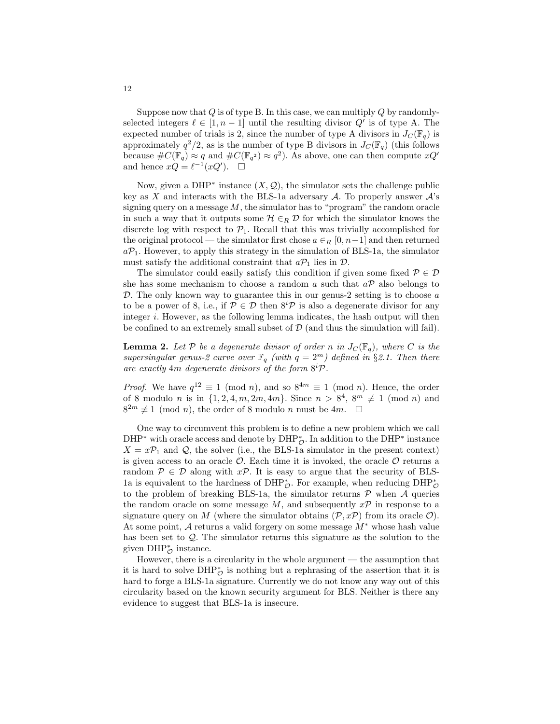Suppose now that  $Q$  is of type B. In this case, we can multiply  $Q$  by randomlyselected integers  $\ell \in [1, n-1]$  until the resulting divisor  $Q'$  is of type A. The expected number of trials is 2, since the number of type A divisors in  $J_c(\mathbb{F}_q)$  is approximately  $q^2/2$ , as is the number of type B divisors in  $J_C(\mathbb{F}_q)$  (this follows because  $\#C(\mathbb{F}_q) \approx q$  and  $\#C(\mathbb{F}_{q^2}) \approx q^2$ ). As above, one can then compute  $xQ'$ and hence  $xQ = \ell^{-1}(xQ')$ .  $\Box$ 

Now, given a DHP<sup>\*</sup> instance  $(X, \mathcal{Q})$ , the simulator sets the challenge public key as X and interacts with the BLS-1a adversary  $A$ . To properly answer  $A$ 's signing query on a message  $M$ , the simulator has to "program" the random oracle in such a way that it outputs some  $\mathcal{H} \in_R \mathcal{D}$  for which the simulator knows the discrete log with respect to  $P_1$ . Recall that this was trivially accomplished for the original protocol — the simulator first chose  $a \in_R [0, n-1]$  and then returned  $aP_1$ . However, to apply this strategy in the simulation of BLS-1a, the simulator must satisfy the additional constraint that  $a\mathcal{P}_1$  lies in  $\mathcal{D}$ .

The simulator could easily satisfy this condition if given some fixed  $P \in \mathcal{D}$ she has some mechanism to choose a random a such that  $a\mathcal{P}$  also belongs to  $\mathcal{D}$ . The only known way to guarantee this in our genus-2 setting is to choose a to be a power of 8, i.e., if  $P \in \mathcal{D}$  then  $8^{i}P$  is also a degenerate divisor for any integer  $i$ . However, as the following lemma indicates, the hash output will then be confined to an extremely small subset of  $\mathcal{D}$  (and thus the simulation will fail).

**Lemma 2.** Let P be a degenerate divisor of order n in  $J_C(\mathbb{F}_q)$ , where C is the supersingular genus-2 curve over  $\mathbb{F}_q$  (with  $q = 2^m$ ) defined in §2.1. Then there are exactly  $4m$  degenerate divisors of the form  $8^{i}P$ .

*Proof.* We have  $q^{12} \equiv 1 \pmod{n}$ , and so  $8^{4m} \equiv 1 \pmod{n}$ . Hence, the order of 8 modulo *n* is in  $\{1, 2, 4, m, 2m, 4m\}$ . Since  $n > 8^4$ ,  $8^m \not\equiv 1 \pmod{n}$  and  $8^{2m} \not\equiv 1 \pmod{n}$ , the order of 8 modulo *n* must be 4*m*.  $\Box$ 

One way to circumvent this problem is to define a new problem which we call DHP<sup>\*</sup> with oracle access and denote by DHP<sub> $\mathcal{O}$ </sub>. In addition to the DHP<sup>\*</sup> instance  $X = xP_1$  and Q, the solver (i.e., the BLS-1a simulator in the present context) is given access to an oracle  $\mathcal{O}$ . Each time it is invoked, the oracle  $\mathcal{O}$  returns a random  $P \in \mathcal{D}$  along with  $x\mathcal{P}$ . It is easy to argue that the security of BLS-1a is equivalent to the hardness of DHP<sub> $\circ$ </sub>. For example, when reducing DHP<sub> $\circ$ </sub> to the problem of breaking BLS-1a, the simulator returns  $P$  when  $\mathcal A$  queries the random oracle on some message M, and subsequently  $x\mathcal{P}$  in response to a signature query on M (where the simulator obtains  $(\mathcal{P}, x\mathcal{P})$ ) from its oracle  $\mathcal{O}$ ). At some point, <sup>A</sup> returns a valid forgery on some message <sup>M</sup><sup>∗</sup> whose hash value has been set to Q. The simulator returns this signature as the solution to the given  $\text{DHP}^*_{\mathcal{O}}$  instance.

However, there is a circularity in the whole argument — the assumption that it is hard to solve  $DHP^*_{\mathcal{O}}$  is nothing but a rephrasing of the assertion that it is hard to forge a BLS-1a signature. Currently we do not know any way out of this circularity based on the known security argument for BLS. Neither is there any evidence to suggest that BLS-1a is insecure.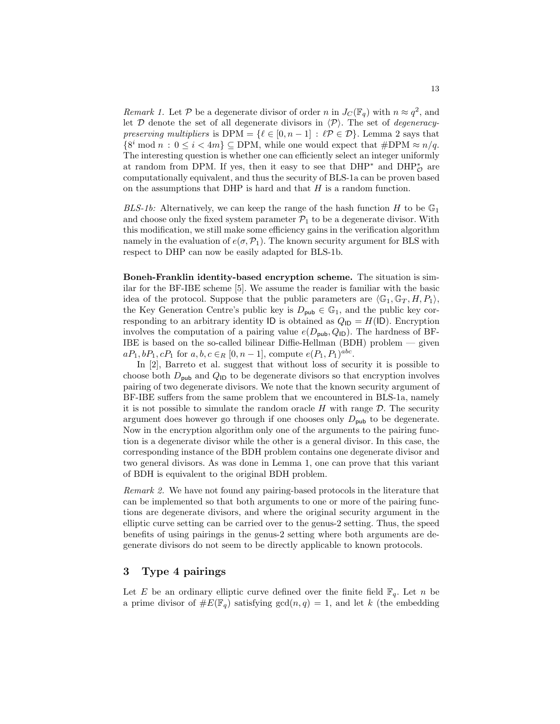Remark 1. Let P be a degenerate divisor of order n in  $J_C(\mathbb{F}_q)$  with  $n \approx q^2$ , and let  $\mathcal D$  denote the set of all degenerate divisors in  $\langle \mathcal P \rangle$ . The set of *degeneracy*preserving multipliers is DPM = { $\ell \in [0, n-1] : \ell \mathcal{P} \in \mathcal{D}$ }. Lemma 2 says that  $\{8^i \bmod n : 0 \le i < 4m\} \subseteq \text{DPM}$ , while one would expect that  $\# \text{DPM} \approx n/q$ . The interesting question is whether one can efficiently select an integer uniformly at random from DPM. If yes, then it easy to see that  $DHP^*$  and  $DHP^*_{\mathcal{O}}$  are computationally equivalent, and thus the security of BLS-1a can be proven based on the assumptions that DHP is hard and that  $H$  is a random function.

BLS-1b: Alternatively, we can keep the range of the hash function H to be  $\mathbb{G}_1$ and choose only the fixed system parameter  $\mathcal{P}_1$  to be a degenerate divisor. With this modification, we still make some efficiency gains in the verification algorithm namely in the evaluation of  $e(\sigma, \mathcal{P}_1)$ . The known security argument for BLS with respect to DHP can now be easily adapted for BLS-1b.

Boneh-Franklin identity-based encryption scheme. The situation is similar for the BF-IBE scheme [5]. We assume the reader is familiar with the basic idea of the protocol. Suppose that the public parameters are  $\langle \mathbb{G}_1, \mathbb{G}_T, H, P_1 \rangle$ , the Key Generation Centre's public key is  $D_{\text{pub}} \in \mathbb{G}_1$ , and the public key corresponding to an arbitrary identity ID is obtained as  $Q_{\text{ID}} = H(\text{ID})$ . Encryption involves the computation of a pairing value  $e(D_{\text{pub}}, Q_{\text{ID}})$ . The hardness of BF-IBE is based on the so-called bilinear Diffie-Hellman (BDH) problem — given  $aP_1, bP_1, cP_1$  for  $a, b, c \in_R [0, n-1]$ , compute  $e(P_1, P_1)^{abc}$ .

In [2], Barreto et al. suggest that without loss of security it is possible to choose both  $D_{\text{pub}}$  and  $Q_{\text{ID}}$  to be degenerate divisors so that encryption involves pairing of two degenerate divisors. We note that the known security argument of BF-IBE suffers from the same problem that we encountered in BLS-1a, namely it is not possible to simulate the random oracle  $H$  with range  $D$ . The security argument does however go through if one chooses only  $D_{\text{pub}}$  to be degenerate. Now in the encryption algorithm only one of the arguments to the pairing function is a degenerate divisor while the other is a general divisor. In this case, the corresponding instance of the BDH problem contains one degenerate divisor and two general divisors. As was done in Lemma 1, one can prove that this variant of BDH is equivalent to the original BDH problem.

Remark 2. We have not found any pairing-based protocols in the literature that can be implemented so that both arguments to one or more of the pairing functions are degenerate divisors, and where the original security argument in the elliptic curve setting can be carried over to the genus-2 setting. Thus, the speed benefits of using pairings in the genus-2 setting where both arguments are degenerate divisors do not seem to be directly applicable to known protocols.

# 3 Type 4 pairings

Let E be an ordinary elliptic curve defined over the finite field  $\mathbb{F}_q$ . Let n be a prime divisor of  $\#E(\mathbb{F}_q)$  satisfying  $gcd(n, q) = 1$ , and let k (the embedding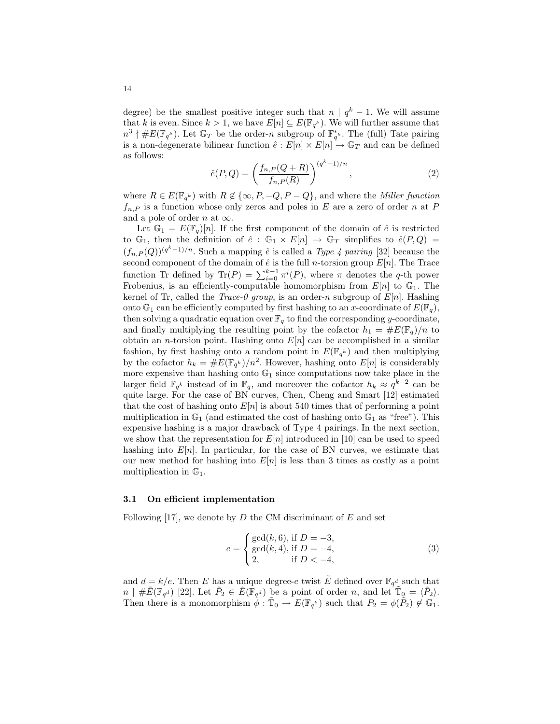degree) be the smallest positive integer such that  $n \mid q^k - 1$ . We will assume that k is even. Since  $k > 1$ , we have  $E[n] \subseteq E(\mathbb{F}_{q^k})$ . We will further assume that  $n^3 \nmid \#E(\mathbb{F}_{q^k})$ . Let  $\mathbb{G}_T$  be the order-n subgroup of  $\mathbb{F}_{q^k}^*$ . The (full) Tate pairing is a non-degenerate bilinear function  $\hat{e}: E[n] \times E[n] \rightarrow \mathbb{G}_T$  and can be defined as follows:

$$
\hat{e}(P,Q) = \left(\frac{f_{n,P}(Q+R)}{f_{n,P}(R)}\right)^{(q^k-1)/n},\tag{2}
$$

where  $R \in E(\mathbb{F}_{q^k})$  with  $R \notin \{\infty, P, -Q, P - Q\}$ , and where the *Miller function*  $f_{n,P}$  is a function whose only zeros and poles in E are a zero of order n at P and a pole of order n at  $\infty$ .

Let  $\mathbb{G}_1 = E(\mathbb{F}_q)[n]$ . If the first component of the domain of  $\hat{e}$  is restricted to  $\mathbb{G}_1$ , then the definition of  $\hat{e}: \mathbb{G}_1 \times E[n] \to \mathbb{G}_T$  simplifies to  $\hat{e}(P,Q)$  $(f_{n,P}(Q))^{(q^{k}-1)/n}$ . Such a mapping  $\hat{e}$  is called a *Type 4 pairing* [32] because the second component of the domain of  $\hat{e}$  is the full *n*-torsion group  $E[n]$ . The Trace function Tr defined by  $\text{Tr}(P) = \sum_{i=0}^{k-1} \pi^i(P)$ , where  $\pi$  denotes the q-th power Frobenius, is an efficiently-computable homomorphism from  $E[n]$  to  $\mathbb{G}_1$ . The kernel of Tr, called the *Trace-0 group*, is an order-n subgroup of  $E[n]$ . Hashing onto  $\mathbb{G}_1$  can be efficiently computed by first hashing to an x-coordinate of  $E(\mathbb{F}_q)$ , then solving a quadratic equation over  $\mathbb{F}_q$  to find the corresponding y-coordinate, and finally multiplying the resulting point by the cofactor  $h_1 = \#E(\mathbb{F}_q)/n$  to obtain an *n*-torsion point. Hashing onto  $E[n]$  can be accomplished in a similar fashion, by first hashing onto a random point in  $E(\mathbb{F}_{q^k})$  and then multiplying by the cofactor  $h_k = \#E(\mathbb{F}_{q^k})/n^2$ . However, hashing onto  $E[n]$  is considerably more expensive than hashing onto  $\mathbb{G}_1$  since computations now take place in the larger field  $\mathbb{F}_{q^k}$  instead of in  $\mathbb{F}_q$ , and moreover the cofactor  $h_k \approx q^{k-2}$  can be quite large. For the case of BN curves, Chen, Cheng and Smart [12] estimated that the cost of hashing onto  $E[n]$  is about 540 times that of performing a point multiplication in  $\mathbb{G}_1$  (and estimated the cost of hashing onto  $\mathbb{G}_1$  as "free"). This expensive hashing is a major drawback of Type 4 pairings. In the next section, we show that the representation for  $E[n]$  introduced in [10] can be used to speed hashing into  $E[n]$ . In particular, for the case of BN curves, we estimate that our new method for hashing into  $E[n]$  is less than 3 times as costly as a point multiplication in  $\mathbb{G}_1$ .

#### 3.1 On efficient implementation

Following [17], we denote by  $D$  the CM discriminant of  $E$  and set

$$
e = \begin{cases} \gcd(k, 6), \text{ if } D = -3, \\ \gcd(k, 4), \text{ if } D = -4, \\ 2, \text{ if } D < -4, \end{cases}
$$
 (3)

and  $d = k/e$ . Then E has a unique degree-e twist  $\tilde{E}$  defined over  $\mathbb{F}_{q^d}$  such that  $n \mid \# \tilde{E}(\mathbb{F}_{q^d})$  [22]. Let  $\tilde{P}_2 \in \tilde{E}(\mathbb{F}_{q^d})$  be a point of order n, and let  $\mathbb{T}_{\mathbb{Q}} = \langle \tilde{P}_2 \rangle$ . Then there is a monomorphism  $\phi : \tilde{T}_0 \to E(\mathbb{F}_{q^k})$  such that  $P_2 = \phi(\tilde{P}_2) \notin \mathbb{G}_1$ .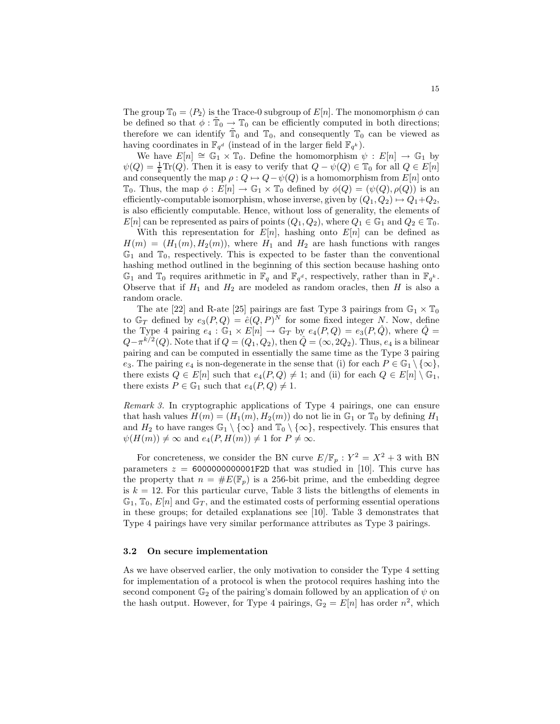The group  $\mathbb{T}_0 = \langle P_2 \rangle$  is the Trace-0 subgroup of  $E[n]$ . The monomorphism  $\phi$  can be defined so that  $\phi : \tilde{T}_0 \to T_0$  can be efficiently computed in both directions; therefore we can identify  $\tilde{T}_0$  and  $T_0$ , and consequently  $T_0$  can be viewed as having coordinates in  $\mathbb{F}_{q^d}$  (instead of in the larger field  $\mathbb{F}_{q^k}$ ).

We have  $E[n] \cong \mathbb{G}_1 \times \mathbb{T}_0$ . Define the homomorphism  $\psi : E[n] \to \mathbb{G}_1$  by  $\psi(Q) = \frac{1}{k}\text{Tr}(Q)$ . Then it is easy to verify that  $Q - \psi(Q) \in \mathbb{T}_0$  for all  $Q \in E[n]$ and consequently the map  $\rho : Q \mapsto Q - \psi(Q)$  is a homomorphism from  $E[n]$  onto  $\mathbb{T}_0$ . Thus, the map  $\phi: E[n] \to \mathbb{G}_1 \times \mathbb{T}_0$  defined by  $\phi(Q) = (\psi(Q), \rho(Q))$  is an efficiently-computable isomorphism, whose inverse, given by  $(Q_1, Q_2) \mapsto Q_1 + Q_2$ , is also efficiently computable. Hence, without loss of generality, the elements of  $E[n]$  can be represented as pairs of points  $(Q_1, Q_2)$ , where  $Q_1 \in \mathbb{G}_1$  and  $Q_2 \in \mathbb{T}_0$ .

With this representation for  $E[n]$ , hashing onto  $E[n]$  can be defined as  $H(m) = (H_1(m), H_2(m))$ , where  $H_1$  and  $H_2$  are hash functions with ranges  $\mathbb{G}_1$  and  $\mathbb{T}_0$ , respectively. This is expected to be faster than the conventional hashing method outlined in the beginning of this section because hashing onto  $\mathbb{G}_1$  and  $\mathbb{T}_0$  requires arithmetic in  $\mathbb{F}_q$  and  $\mathbb{F}_{q^d}$ , respectively, rather than in  $\mathbb{F}_{q^k}$ . Observe that if  $H_1$  and  $H_2$  are modeled as random oracles, then H is also a random oracle.

The ate [22] and R-ate [25] pairings are fast Type 3 pairings from  $\mathbb{G}_1 \times \mathbb{T}_0$ to  $\mathbb{G}_T$  defined by  $e_3(P,Q) = \hat{e}(Q,P)^N$  for some fixed integer N. Now, define the Type 4 pairing  $e_4 : \mathbb{G}_1 \times E[n] \to \mathbb{G}_T$  by  $e_4(P,Q) = e_3(P,\hat{Q})$ , where  $\hat{Q} =$  $Q - \pi^{k/2}(Q)$ . Note that if  $Q = (Q_1, Q_2)$ , then  $\hat{Q} = (\infty, 2Q_2)$ . Thus,  $e_4$  is a bilinear pairing and can be computed in essentially the same time as the Type 3 pairing e<sub>3</sub>. The pairing e<sub>4</sub> is non-degenerate in the sense that (i) for each  $P \in \mathbb{G}_1 \setminus \{ \infty \},$ there exists  $Q \in E[n]$  such that  $e_4(P,Q) \neq 1$ ; and (ii) for each  $Q \in E[n] \setminus \mathbb{G}_1$ , there exists  $P \in \mathbb{G}_1$  such that  $e_4(P,Q) \neq 1$ .

Remark 3. In cryptographic applications of Type 4 pairings, one can ensure that hash values  $H(m) = (H_1(m), H_2(m))$  do not lie in  $\mathbb{G}_1$  or  $\mathbb{T}_0$  by defining  $H_1$ and  $H_2$  to have ranges  $\mathbb{G}_1 \setminus \{\infty\}$  and  $\mathbb{T}_0 \setminus \{\infty\}$ , respectively. This ensures that  $\psi(H(m)) \neq \infty$  and  $e_4(P, H(m)) \neq 1$  for  $P \neq \infty$ .

For concreteness, we consider the BN curve  $E/\mathbb{F}_p : Y^2 = X^2 + 3$  with BN parameters  $z = 6000000000001$ F2D that was studied in [10]. This curve has the property that  $n = \#E(\mathbb{F}_p)$  is a 256-bit prime, and the embedding degree is  $k = 12$ . For this particular curve, Table 3 lists the bitlengths of elements in  $\mathbb{G}_1$ ,  $\mathbb{T}_0$ ,  $E[n]$  and  $\mathbb{G}_T$ , and the estimated costs of performing essential operations in these groups; for detailed explanations see [10]. Table 3 demonstrates that Type 4 pairings have very similar performance attributes as Type 3 pairings.

### 3.2 On secure implementation

As we have observed earlier, the only motivation to consider the Type 4 setting for implementation of a protocol is when the protocol requires hashing into the second component  $\mathbb{G}_2$  of the pairing's domain followed by an application of  $\psi$  on the hash output. However, for Type 4 pairings,  $\mathbb{G}_2 = E[n]$  has order  $n^2$ , which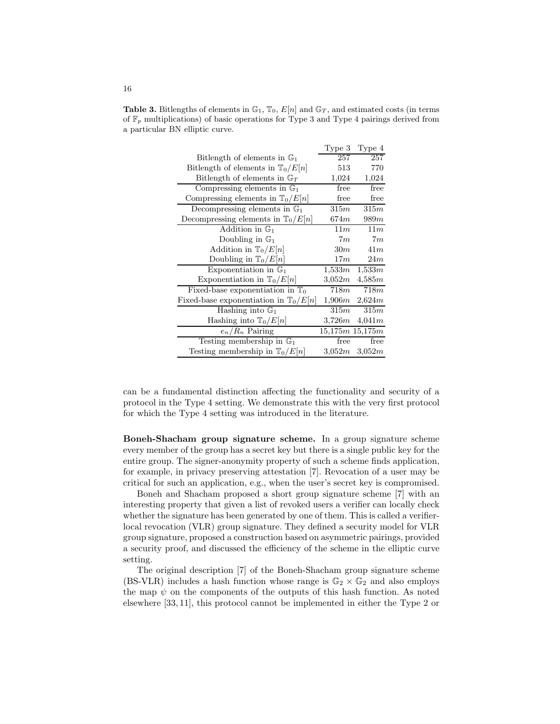|                                                  | Type 3 | Type 4              |
|--------------------------------------------------|--------|---------------------|
| Bitlength of elements in $\mathbb{G}_1$          | 257    | 257                 |
| Bitlength of elements in $\mathbb{T}_0/E[n]$     | 513    | 770                 |
| Bitlength of elements in $\mathbb{G}_T$          | 1,024  | 1,024               |
| Compressing elements in $\mathbb{G}_1$           | free   | free                |
| Compressing elements in $\mathbb{T}_0/E[n]$      | free   | free                |
| Decompressing elements in $\mathbb{G}_1$         | 315m   | 315m                |
| Decompressing elements in $\mathbb{T}_0/E[n]$    | 674m   | 989m                |
| Addition in $\mathbb{G}_1$                       | 11m    | 11m                 |
| Doubling in $\mathbb{G}_1$                       | 7m     | 7m                  |
| Addition in $\mathbb{T}_0/E[n]$                  | 30m    | 41m                 |
| Doubling in $\mathbb{T}_0/E[n]$                  | 17m    | 24m                 |
| Exponentiation in $\mathbb{G}_1$                 | 1,533m | 1,533m              |
| Exponentiation in $\mathbb{T}_0/E[n]$            | 3,052m | 4,585m              |
| Fixed-base exponentiation in $\mathbb{T}_0$      | 718m   | 718m                |
| Fixed-base exponentiation in $\mathbb{T}_0/E[n]$ | 1,906m | 2,624m              |
| Hashing into $\mathbb{G}_1$                      | 315m   | 315m                |
| Hashing into $\mathbb{T}_0/E[n]$                 | 3,726m | 4,041m              |
| $e_n/R_n$ Pairing                                |        | $15,175m$ $15,175m$ |
| Testing membership in $\mathbb{G}_1$             | free   | free                |
| Testing membership in $\mathbb{T}_0/E[n]$        | 3,052m | 3,052m              |

**Table 3.** Bitlengths of elements in  $\mathbb{G}_1$ ,  $\mathbb{T}_0$ ,  $E[n]$  and  $\mathbb{G}_T$ , and estimated costs (in terms of  $\mathbb{F}_p$  multiplications) of basic operations for Type 3 and Type 4 pairings derived from a particular BN elliptic curve.

can be a fundamental distinction affecting the functionality and security of a protocol in the Type 4 setting. We demonstrate this with the very first protocol for which the Type 4 setting was introduced in the literature.

Boneh-Shacham group signature scheme. In a group signature scheme every member of the group has a secret key but there is a single public key for the entire group. The signer-anonymity property of such a scheme finds application, for example, in privacy preserving attestation [7]. Revocation of a user may be critical for such an application, e.g., when the user's secret key is compromised.

Boneh and Shacham proposed a short group signature scheme [7] with an interesting property that given a list of revoked users a verifier can locally check whether the signature has been generated by one of them. This is called a verifierlocal revocation (VLR) group signature. They defined a security model for VLR group signature, proposed a construction based on asymmetric pairings, provided a security proof, and discussed the efficiency of the scheme in the elliptic curve setting.

The original description [7] of the Boneh-Shacham group signature scheme (BS-VLR) includes a hash function whose range is  $\mathbb{G}_2 \times \mathbb{G}_2$  and also employs the map  $\psi$  on the components of the outputs of this hash function. As noted elsewhere [33, 11], this protocol cannot be implemented in either the Type 2 or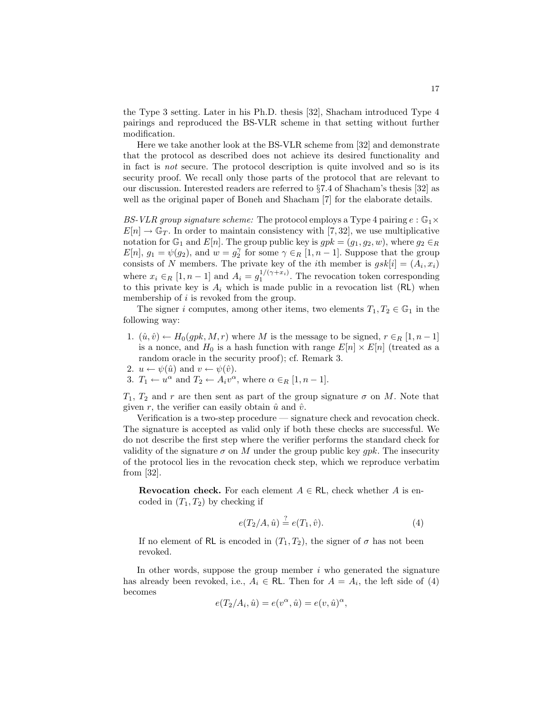the Type 3 setting. Later in his Ph.D. thesis [32], Shacham introduced Type 4 pairings and reproduced the BS-VLR scheme in that setting without further modification.

Here we take another look at the BS-VLR scheme from [32] and demonstrate that the protocol as described does not achieve its desired functionality and in fact is not secure. The protocol description is quite involved and so is its security proof. We recall only those parts of the protocol that are relevant to our discussion. Interested readers are referred to §7.4 of Shacham's thesis [32] as well as the original paper of Boneh and Shacham [7] for the elaborate details.

BS-VLR group signature scheme: The protocol employs a Type 4 pairing  $e : \mathbb{G}_1 \times$  $E[n] \to \mathbb{G}_T$ . In order to maintain consistency with [7,32], we use multiplicative notation for  $\mathbb{G}_1$  and  $E[n]$ . The group public key is  $gpk = (g_1, g_2, w)$ , where  $g_2 \in_R$  $E[n], g_1 = \psi(g_2)$ , and  $w = g_2^{\gamma}$  for some  $\gamma \in_R [1, n-1]$ . Suppose that the group consists of N members. The private key of the *i*th member is  $gsk[i] = (A_i, x_i)$ where  $x_i \in_R [1, n-1]$  and  $A_i = g_1^{1/(\gamma + x_i)}$ . The revocation token corresponding to this private key is  $A_i$  which is made public in a revocation list (RL) when membership of i is revoked from the group.

The signer i computes, among other items, two elements  $T_1, T_2 \in \mathbb{G}_1$  in the following way:

- 1.  $(\hat{u}, \hat{v}) \leftarrow H_0(gpk, M, r)$  where M is the message to be signed,  $r \in_R [1, n-1]$ is a nonce, and  $H_0$  is a hash function with range  $E[n] \times E[n]$  (treated as a random oracle in the security proof); cf. Remark 3.
- 2.  $u \leftarrow \psi(\hat{u})$  and  $v \leftarrow \psi(\hat{v})$ .
- 3.  $T_1 \leftarrow u^{\alpha}$  and  $T_2 \leftarrow A_i v^{\alpha}$ , where  $\alpha \in_R [1, n-1]$ .

 $T_1, T_2$  and r are then sent as part of the group signature  $\sigma$  on M. Note that given r, the verifier can easily obtain  $\hat{u}$  and  $\hat{v}$ .

Verification is a two-step procedure — signature check and revocation check. The signature is accepted as valid only if both these checks are successful. We do not describe the first step where the verifier performs the standard check for validity of the signature  $\sigma$  on M under the group public key *qpk*. The insecurity of the protocol lies in the revocation check step, which we reproduce verbatim from [32].

**Revocation check.** For each element  $A \in \mathsf{RL}$ , check whether A is encoded in  $(T_1, T_2)$  by checking if

$$
e(T_2/A, \hat{u}) \stackrel{?}{=} e(T_1, \hat{v}).
$$
\n(4)

If no element of RL is encoded in  $(T_1, T_2)$ , the signer of  $\sigma$  has not been revoked.

In other words, suppose the group member  $i$  who generated the signature has already been revoked, i.e.,  $A_i \in \mathbb{RL}$ . Then for  $A = A_i$ , the left side of (4) becomes

$$
e(T_2/A_i, \hat{u}) = e(v^{\alpha}, \hat{u}) = e(v, \hat{u})^{\alpha},
$$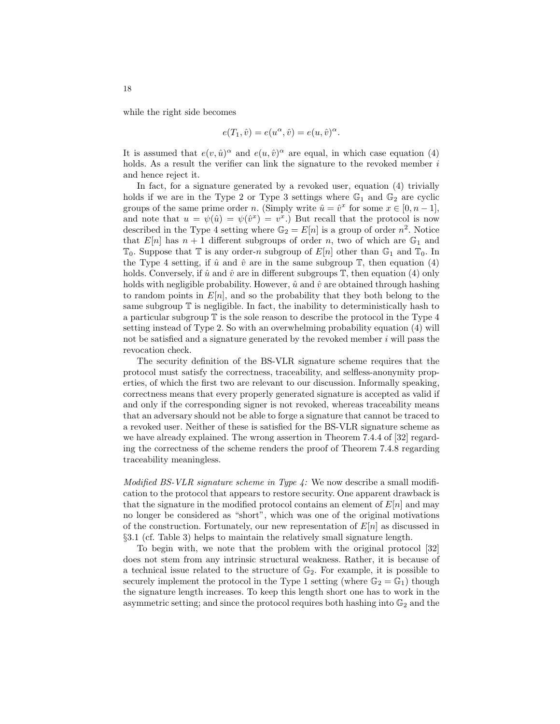while the right side becomes

$$
e(T_1, \hat{v}) = e(u^{\alpha}, \hat{v}) = e(u, \hat{v})^{\alpha}.
$$

It is assumed that  $e(v, \hat{u})^{\alpha}$  and  $e(u, \hat{v})^{\alpha}$  are equal, in which case equation (4) holds. As a result the verifier can link the signature to the revoked member  $i$ and hence reject it.

In fact, for a signature generated by a revoked user, equation (4) trivially holds if we are in the Type 2 or Type 3 settings where  $\mathbb{G}_1$  and  $\mathbb{G}_2$  are cyclic groups of the same prime order n. (Simply write  $\hat{u} = \hat{v}^x$  for some  $x \in [0, n-1]$ , and note that  $u = \psi(\hat{u}) = \psi(\hat{v}^x) = v^x$ . But recall that the protocol is now described in the Type 4 setting where  $\mathbb{G}_2 = E[n]$  is a group of order  $n^2$ . Notice that  $E[n]$  has  $n + 1$  different subgroups of order n, two of which are  $\mathbb{G}_1$  and  $\mathbb{T}_0$ . Suppose that  $\mathbb{T}$  is any order-n subgroup of  $E[n]$  other than  $\mathbb{G}_1$  and  $\mathbb{T}_0$ . In the Type 4 setting, if  $\hat{u}$  and  $\hat{v}$  are in the same subgroup  $\mathbb{T}$ , then equation (4) holds. Conversely, if  $\hat{u}$  and  $\hat{v}$  are in different subgroups  $\mathbb{T}$ , then equation (4) only holds with negligible probability. However,  $\hat{u}$  and  $\hat{v}$  are obtained through hashing to random points in  $E[n]$ , and so the probability that they both belong to the same subgroup  $\mathbb T$  is negligible. In fact, the inability to deterministically hash to a particular subgroup  $T$  is the sole reason to describe the protocol in the Type  $4$ setting instead of Type 2. So with an overwhelming probability equation (4) will not be satisfied and a signature generated by the revoked member  $i$  will pass the revocation check.

The security definition of the BS-VLR signature scheme requires that the protocol must satisfy the correctness, traceability, and selfless-anonymity properties, of which the first two are relevant to our discussion. Informally speaking, correctness means that every properly generated signature is accepted as valid if and only if the corresponding signer is not revoked, whereas traceability means that an adversary should not be able to forge a signature that cannot be traced to a revoked user. Neither of these is satisfied for the BS-VLR signature scheme as we have already explained. The wrong assertion in Theorem 7.4.4 of [32] regarding the correctness of the scheme renders the proof of Theorem 7.4.8 regarding traceability meaningless.

Modified BS-VLR signature scheme in Type  $\ddot{A}$ : We now describe a small modification to the protocol that appears to restore security. One apparent drawback is that the signature in the modified protocol contains an element of  $E[n]$  and may no longer be considered as "short", which was one of the original motivations of the construction. Fortunately, our new representation of  $E[n]$  as discussed in §3.1 (cf. Table 3) helps to maintain the relatively small signature length.

To begin with, we note that the problem with the original protocol [32] does not stem from any intrinsic structural weakness. Rather, it is because of a technical issue related to the structure of  $\mathbb{G}_2$ . For example, it is possible to securely implement the protocol in the Type 1 setting (where  $\mathbb{G}_2 = \mathbb{G}_1$ ) though the signature length increases. To keep this length short one has to work in the asymmetric setting; and since the protocol requires both hashing into  $\mathbb{G}_2$  and the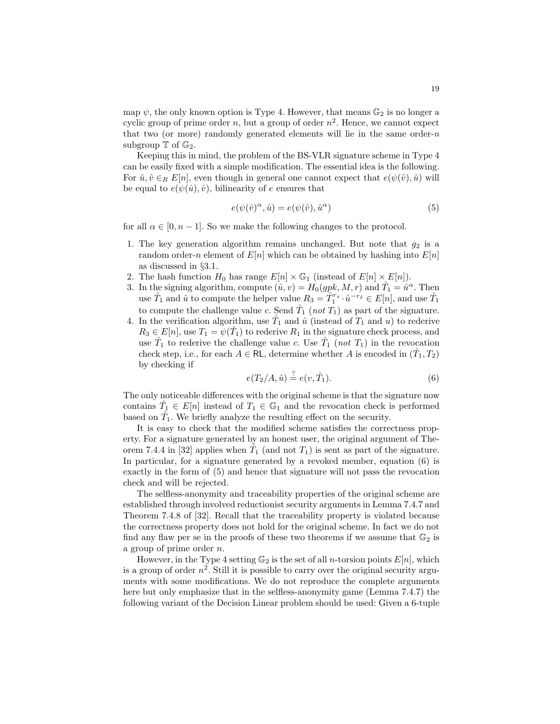map  $\psi$ , the only known option is Type 4. However, that means  $\mathbb{G}_2$  is no longer a cyclic group of prime order  $n$ , but a group of order  $n^2$ . Hence, we cannot expect that two (or more) randomly generated elements will lie in the same order- $n$ subgroup  $\mathbb T$  of  $\mathbb{G}_2$ .

Keeping this in mind, the problem of the BS-VLR signature scheme in Type 4 can be easily fixed with a simple modification. The essential idea is the following. For  $\hat{u}, \hat{v} \in_R E[n]$ , even though in general one cannot expect that  $e(\psi(\hat{v}), \hat{u})$  will be equal to  $e(\psi(\hat{u}), \hat{v})$ , bilinearity of e ensures that

$$
e(\psi(\hat{v})^{\alpha}, \hat{u}) = e(\psi(\hat{v}), \hat{u}^{\alpha})
$$
\n(5)

for all  $\alpha \in [0, n-1]$ . So we make the following changes to the protocol.

- 1. The key generation algorithm remains unchanged. But note that  $g_2$  is a random order-n element of  $E[n]$  which can be obtained by hashing into  $E[n]$ as discussed in §3.1.
- 2. The hash function  $H_0$  has range  $E[n] \times \mathbb{G}_1$  (instead of  $E[n] \times E[n]$ ).
- 3. In the signing algorithm, compute  $(\hat{u}, v) = H_0(gpk, M, r)$  and  $\hat{T}_1 = \hat{u}^\alpha$ . Then use  $\hat{T}_1$  and  $\hat{u}$  to compute the helper value  $R_3 = \hat{T}_1^{r_x} \cdot \hat{u}^{-r_\delta} \in E[n]$ , and use  $\hat{T}_1$ to compute the challenge value c. Send  $\hat{T}_1$  (not  $T_1$ ) as part of the signature.
- 4. In the verification algorithm, use  $\hat{T}_1$  and  $\hat{u}$  (instead of  $T_1$  and  $u$ ) to rederive  $R_3 \in E[n]$ , use  $T_1 = \psi(\hat{T}_1)$  to rederive  $R_1$  in the signature check process, and use  $\hat{T}_1$  to rederive the challenge value c. Use  $\hat{T}_1$  (not  $T_1$ ) in the revocation check step, i.e., for each  $A \in \mathsf{RL}$ , determine whether A is encoded in  $(\hat{T}_1, T_2)$ by checking if

$$
e(T_2/A, \hat{u}) \stackrel{?}{=} e(v, \hat{T}_1). \tag{6}
$$

The only noticeable differences with the original scheme is that the signature now contains  $\hat{T}_1 \in E[n]$  instead of  $T_1 \in \mathbb{G}_1$  and the revocation check is performed based on  $\hat{T}_1$ . We briefly analyze the resulting effect on the security.

It is easy to check that the modified scheme satisfies the correctness property. For a signature generated by an honest user, the original argument of Theorem 7.4.4 in [32] applies when  $\hat{T}_1$  (and not  $T_1$ ) is sent as part of the signature. In particular, for a signature generated by a revoked member, equation (6) is exactly in the form of (5) and hence that signature will not pass the revocation check and will be rejected.

The selfless-anonymity and traceability properties of the original scheme are established through involved reductionist security arguments in Lemma 7.4.7 and Theorem 7.4.8 of [32]. Recall that the traceability property is violated because the correctness property does not hold for the original scheme. In fact we do not find any flaw per se in the proofs of these two theorems if we assume that  $\mathbb{G}_2$  is a group of prime order n.

However, in the Type 4 setting  $\mathbb{G}_2$  is the set of all *n*-torsion points  $E[n]$ , which is a group of order  $n^2$ . Still it is possible to carry over the original security arguments with some modifications. We do not reproduce the complete arguments here but only emphasize that in the selfless-anonymity game (Lemma 7.4.7) the following variant of the Decision Linear problem should be used: Given a 6-tuple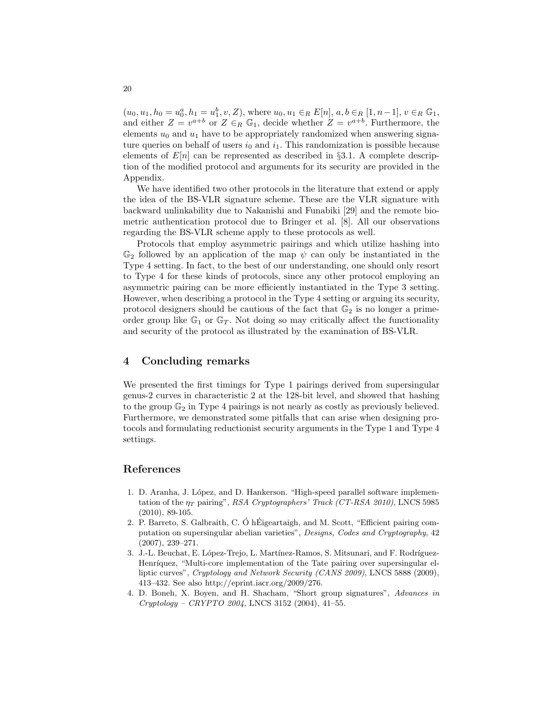$(u_0, u_1, h_0 = u_0^a, h_1 = u_1^b, v, Z)$ , where  $u_0, u_1 \in_R E[n]$ ,  $a, b \in_R [1, n-1]$ ,  $v \in_R \mathbb{G}_1$ , and either  $Z = v^{a+b}$  or  $Z \in_R \mathbb{G}_1$ , decide whether  $Z = v^{a+b}$ . Furthermore, the elements  $u_0$  and  $u_1$  have to be appropriately randomized when answering signature queries on behalf of users  $i_0$  and  $i_1$ . This randomization is possible because elements of  $E[n]$  can be represented as described in §3.1. A complete description of the modified protocol and arguments for its security are provided in the Appendix.

We have identified two other protocols in the literature that extend or apply the idea of the BS-VLR signature scheme. These are the VLR signature with backward unlinkability due to Nakanishi and Funabiki [29] and the remote biometric authentication protocol due to Bringer et al. [8]. All our observations regarding the BS-VLR scheme apply to these protocols as well.

Protocols that employ asymmetric pairings and which utilize hashing into  $\mathbb{G}_2$  followed by an application of the map  $\psi$  can only be instantiated in the Type 4 setting. In fact, to the best of our understanding, one should only resort to Type 4 for these kinds of protocols, since any other protocol employing an asymmetric pairing can be more efficiently instantiated in the Type 3 setting. However, when describing a protocol in the Type 4 setting or arguing its security, protocol designers should be cautious of the fact that  $\mathbb{G}_2$  is no longer a primeorder group like  $\mathbb{G}_1$  or  $\mathbb{G}_T$ . Not doing so may critically affect the functionality and security of the protocol as illustrated by the examination of BS-VLR.

## 4 Concluding remarks

We presented the first timings for Type 1 pairings derived from supersingular genus-2 curves in characteristic 2 at the 128-bit level, and showed that hashing to the group  $\mathbb{G}_2$  in Type 4 pairings is not nearly as costly as previously believed. Furthermore, we demonstrated some pitfalls that can arise when designing protocols and formulating reductionist security arguments in the Type 1 and Type 4 settings.

## References

- 1. D. Aranha, J. L´opez, and D. Hankerson. "High-speed parallel software implementation of the  $\eta_T$  pairing", RSA Cryptographers' Track (CT-RSA 2010), LNCS 5985 (2010), 89-105.
- 2. P. Barreto, S. Galbraith, C. Ó hÉigeartaigh, and M. Scott, "Efficient pairing computation on supersingular abelian varieties", Designs, Codes and Cryptography, 42 (2007), 239–271.
- 3. J.-L. Beuchat, E. López-Trejo, L. Martínez-Ramos, S. Mitsunari, and F. Rodríguez-Henríquez, "Multi-core implementation of the Tate pairing over supersingular elliptic curves", Cryptology and Network Security (CANS 2009), LNCS 5888 (2009), 413–432. See also http://eprint.iacr.org/2009/276.
- 4. D. Boneh, X. Boyen, and H. Shacham, "Short group signatures", Advances in Cryptology – CRYPTO 2004, LNCS 3152 (2004), 41–55.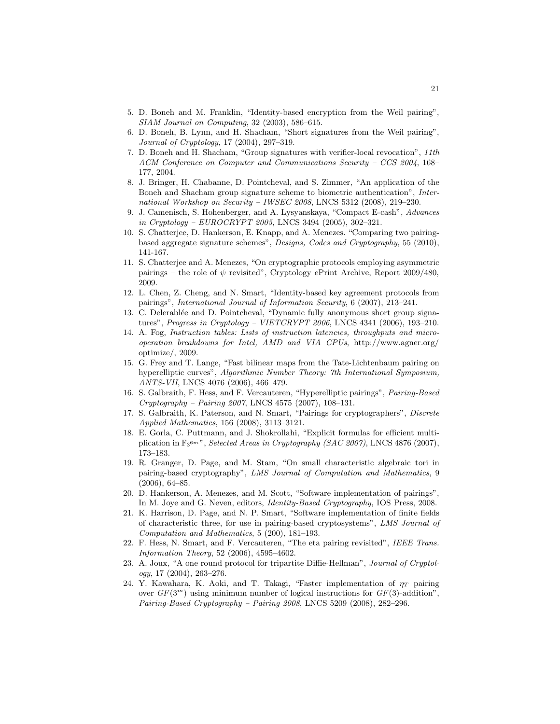- 5. D. Boneh and M. Franklin, "Identity-based encryption from the Weil pairing", SIAM Journal on Computing, 32 (2003), 586–615.
- 6. D. Boneh, B. Lynn, and H. Shacham, "Short signatures from the Weil pairing", Journal of Cryptology, 17 (2004), 297–319.
- 7. D. Boneh and H. Shacham, "Group signatures with verifier-local revocation", 11th ACM Conference on Computer and Communications Security – CCS 2004, 168– 177, 2004.
- 8. J. Bringer, H. Chabanne, D. Pointcheval, and S. Zimmer, "An application of the Boneh and Shacham group signature scheme to biometric authentication", International Workshop on Security – IWSEC 2008, LNCS 5312 (2008), 219–230.
- 9. J. Camenisch, S. Hohenberger, and A. Lysyanskaya, "Compact E-cash", Advances in Cryptology – EUROCRYPT 2005, LNCS 3494 (2005), 302–321.
- 10. S. Chatterjee, D. Hankerson, E. Knapp, and A. Menezes. "Comparing two pairingbased aggregate signature schemes", Designs, Codes and Cryptography, 55 (2010), 141-167.
- 11. S. Chatterjee and A. Menezes, "On cryptographic protocols employing asymmetric pairings – the role of  $\psi$  revisited", Cryptology ePrint Archive, Report 2009/480, 2009.
- 12. L. Chen, Z. Cheng, and N. Smart, "Identity-based key agreement protocols from pairings", International Journal of Information Security, 6 (2007), 213–241.
- 13. C. Delerablée and D. Pointcheval, "Dynamic fully anonymous short group signatures", Progress in Cryptology – VIETCRYPT 2006, LNCS 4341 (2006), 193–210.
- 14. A. Fog, Instruction tables: Lists of instruction latencies, throughputs and microoperation breakdowns for Intel, AMD and VIA CPUs, http://www.agner.org/ optimize/, 2009.
- 15. G. Frey and T. Lange, "Fast bilinear maps from the Tate-Lichtenbaum pairing on hyperelliptic curves", Algorithmic Number Theory: 7th International Symposium, ANTS-VII, LNCS 4076 (2006), 466–479.
- 16. S. Galbraith, F. Hess, and F. Vercauteren, "Hyperelliptic pairings", Pairing-Based Cryptography – Pairing 2007, LNCS 4575 (2007), 108–131.
- 17. S. Galbraith, K. Paterson, and N. Smart, "Pairings for cryptographers", Discrete Applied Mathematics, 156 (2008), 3113–3121.
- 18. E. Gorla, C. Puttmann, and J. Shokrollahi, "Explicit formulas for efficient multiplication in  $\mathbb{F}_3$ <sup>6*m*</sup>", *Selected Areas in Cryptography (SAC 2007)*, LNCS 4876 (2007), 173–183.
- 19. R. Granger, D. Page, and M. Stam, "On small characteristic algebraic tori in pairing-based cryptography", LMS Journal of Computation and Mathematics, 9 (2006), 64–85.
- 20. D. Hankerson, A. Menezes, and M. Scott, "Software implementation of pairings", In M. Joye and G. Neven, editors, Identity-Based Cryptography, IOS Press, 2008.
- 21. K. Harrison, D. Page, and N. P. Smart, "Software implementation of finite fields of characteristic three, for use in pairing-based cryptosystems", LMS Journal of Computation and Mathematics, 5 (200), 181–193.
- 22. F. Hess, N. Smart, and F. Vercauteren, "The eta pairing revisited", IEEE Trans. Information Theory, 52 (2006), 4595–4602.
- 23. A. Joux, "A one round protocol for tripartite Diffie-Hellman", Journal of Cryptology, 17 (2004), 263–276.
- 24. Y. Kawahara, K. Aoki, and T. Takagi, "Faster implementation of  $\eta_T$  pairing over  $GF(3^m)$  using minimum number of logical instructions for  $GF(3)$ -addition", Pairing-Based Cryptography – Pairing 2008, LNCS 5209 (2008), 282–296.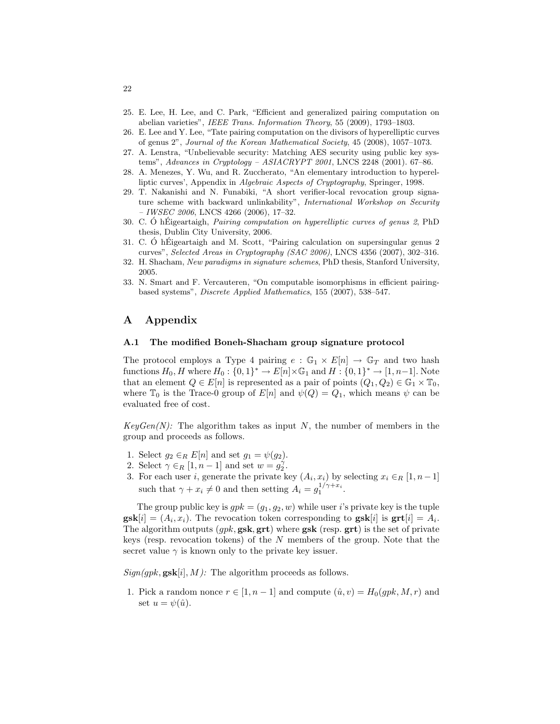- 25. E. Lee, H. Lee, and C. Park, "Efficient and generalized pairing computation on abelian varieties", IEEE Trans. Information Theory, 55 (2009), 1793–1803.
- 26. E. Lee and Y. Lee, "Tate pairing computation on the divisors of hyperelliptic curves of genus 2", Journal of the Korean Mathematical Society, 45 (2008), 1057–1073.
- 27. A. Lenstra, "Unbelievable security: Matching AES security using public key systems", Advances in Cryptology – ASIACRYPT 2001, LNCS 2248 (2001). 67–86.
- 28. A. Menezes, Y. Wu, and R. Zuccherato, "An elementary introduction to hyperelliptic curves', Appendix in Algebraic Aspects of Cryptography, Springer, 1998.
- 29. T. Nakanishi and N. Funabiki, "A short verifier-local revocation group signature scheme with backward unlinkability", *International Workshop on Security*  $-$  IWSEC 2006, LNCS 4266 (2006), 17-32.
- 30. C. O h Eigeartaigh, *Pairing computation on hyperelliptic curves of genus 2*, PhD thesis, Dublin City University, 2006.
- 31. C. Ó hÉigeartaigh and M. Scott, "Pairing calculation on supersingular genus  $2$ curves", Selected Areas in Cryptography (SAC 2006), LNCS 4356 (2007), 302–316.
- 32. H. Shacham, New paradigms in signature schemes, PhD thesis, Stanford University, 2005.
- 33. N. Smart and F. Vercauteren, "On computable isomorphisms in efficient pairingbased systems", Discrete Applied Mathematics, 155 (2007), 538–547.

# A Appendix

## A.1 The modified Boneh-Shacham group signature protocol

The protocol employs a Type 4 pairing  $e : \mathbb{G}_1 \times E[n] \to \mathbb{G}_T$  and two hash functions  $H_0$ , H where  $H_0: \{0,1\}^* \to E[n] \times \mathbb{G}_1$  and  $H: \{0,1\}^* \to [1,n-1]$ . Note that an element  $Q \in E[n]$  is represented as a pair of points  $(Q_1, Q_2) \in \mathbb{G}_1 \times \mathbb{T}_0$ , where  $\mathbb{T}_0$  is the Trace-0 group of  $E[n]$  and  $\psi(Q) = Q_1$ , which means  $\psi$  can be evaluated free of cost.

 $KeyGen(N)$ : The algorithm takes as input N, the number of members in the group and proceeds as follows.

- 1. Select  $g_2 \in_R E[n]$  and set  $g_1 = \psi(g_2)$ .
- 2. Select  $\gamma \in_R [1, n-1]$  and set  $w = g_2^{\gamma}$ .
- 3. For each user i, generate the private key  $(A_i, x_i)$  by selecting  $x_i \in_R [1, n-1]$ such that  $\gamma + x_i \neq 0$  and then setting  $A_i = g_1^{1/\gamma + x_i}$ .

The group public key is  $gpk = (g_1, g_2, w)$  while user *i*'s private key is the tuple  $\textbf{gsk}[i] = (A_i, x_i)$ . The revocation token corresponding to  $\textbf{gsk}[i]$  is  $\textbf{grt}[i] = A_i$ . The algorithm outputs  $(qpk, gsk, grt)$  where  $gsk$  (resp.  $grt)$  is the set of private keys (resp. revocation tokens) of the  $N$  members of the group. Note that the secret value  $\gamma$  is known only to the private key issuer.

 $Sign(gpk, gsk[i], M)$ : The algorithm proceeds as follows.

1. Pick a random nonce  $r \in [1, n-1]$  and compute  $(\hat{u}, v) = H_0(gpk, M, r)$  and set  $u = \psi(\hat{u})$ .

22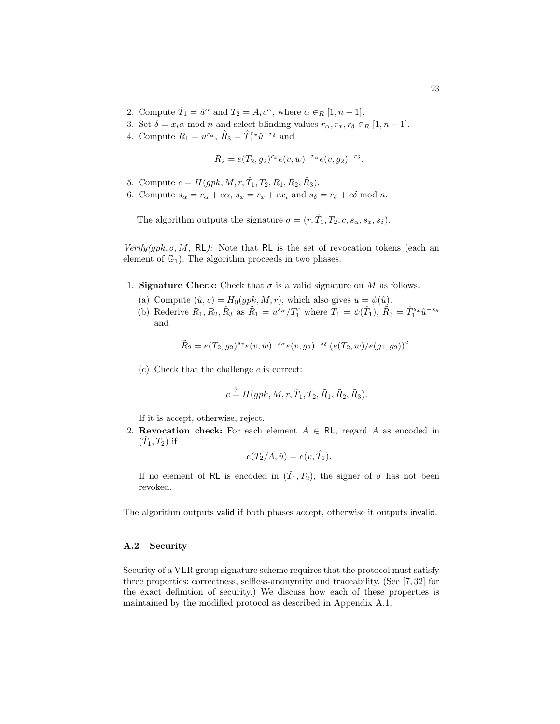- 2. Compute  $\hat{T}_1 = \hat{u}^\alpha$  and  $T_2 = A_i v^\alpha$ , where  $\alpha \in_R [1, n-1]$ .
- 3. Set  $\delta = x_i \alpha \mod n$  and select blinding values  $r_{\alpha}, r_x, r_{\delta} \in_R [1, n-1]$ .
- 4. Compute  $R_1 = u^{r_{\alpha}}, \hat{R}_3 = \hat{T}_1^{r_x} \hat{u}^{-r_{\delta}}$  and

$$
R_2 = e(T_2, g_2)^{r_x} e(v, w)^{-r_\alpha} e(v, g_2)^{-r_\delta}.
$$

- 5. Compute  $c = H(gpk, M, r, \hat{T}_1, T_2, R_1, R_2, \hat{R}_3)$ .
- 6. Compute  $s_{\alpha} = r_{\alpha} + c\alpha$ ,  $s_x = r_x + cx_i$  and  $s_{\delta} = r_{\delta} + c\delta$  mod n.

The algorithm outputs the signature  $\sigma = (r, \hat{T}_1, T_2, c, s_\alpha, s_x, s_\delta)$ .

 $Verify(qpk, \sigma, M, RL)$ : Note that RL is the set of revocation tokens (each an element of  $\mathbb{G}_1$ ). The algorithm proceeds in two phases.

- 1. Signature Check: Check that  $\sigma$  is a valid signature on M as follows.
	- (a) Compute  $(\hat{u}, v) = H_0(gpk, M, r)$ , which also gives  $u = \psi(\hat{u})$ .
	- (b) Rederive  $R_1, R_2, \hat{R}_3$  as  $\tilde{R}_1 = u^{s_{\alpha}}/T_1^c$  where  $T_1 = \psi(\hat{T}_1), \tilde{R}_3 = \hat{T}_1^{s_x} \hat{u}^{-s_{\delta}}$ and

$$
\tilde{R}_2 = e(T_2, g_2)^{s_x} e(v, w)^{-s_\alpha} e(v, g_2)^{-s_\delta} (e(T_2, w) / e(g_1, g_2))^c.
$$

 $(c)$  Check that the challenge  $c$  is correct:

$$
c \stackrel{?}{=} H(gpk, M, r, \hat{T}_1, T_2, \tilde{R}_1, \tilde{R}_2, \tilde{R}_3).
$$

If it is accept, otherwise, reject.

2. Revocation check: For each element  $A \in \mathsf{RL}$ , regard A as encoded in  $(\hat{T}_1, T_2)$  if

$$
e(T_2/A, \hat{u}) = e(v, \hat{T}_1).
$$

If no element of RL is encoded in  $(\hat{T}_1, T_2)$ , the signer of  $\sigma$  has not been revoked.

The algorithm outputs valid if both phases accept, otherwise it outputs invalid.

## A.2 Security

Security of a VLR group signature scheme requires that the protocol must satisfy three properties: correctness, selfless-anonymity and traceability. (See [7, 32] for the exact definition of security.) We discuss how each of these properties is maintained by the modified protocol as described in Appendix A.1.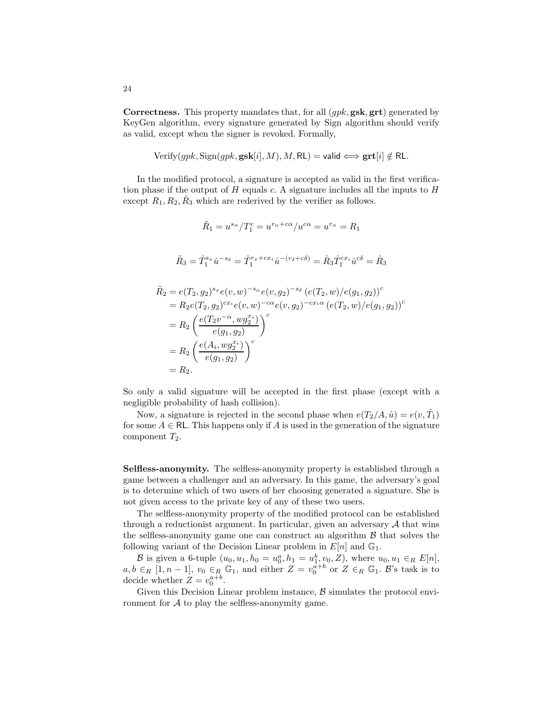Correctness. This property mandates that, for all (gpk, gsk, grt) generated by KeyGen algorithm, every signature generated by Sign algorithm should verify as valid, except when the signer is revoked. Formally,

$$
Verify(gpk, \text{Sign}(gpk, \textbf{gsk}[i], M), M, \text{RL}) = \text{valid} \Longleftrightarrow \textbf{grt}[i] \notin \text{RL}.
$$

In the modified protocol, a signature is accepted as valid in the first verification phase if the output of  $H$  equals  $c$ . A signature includes all the inputs to  $H$ except  $R_1, R_2, \hat{R}_3$  which are rederived by the verifier as follows.

$$
\tilde{R}_1 = u^{s_{\alpha}}/T_1^c = u^{r_{\alpha} + c\alpha}/u^{c\alpha} = u^{r_{\alpha}} = R_1
$$
\n
$$
\tilde{R}_3 = \hat{T}_1^{s_x} \hat{u}^{-s_{\delta}} = \hat{T}_1^{r_x + c x_i} \hat{u}^{-(r_{\delta} + c\delta)} = \hat{R}_3 \hat{T}_1^{c x_i} \hat{u}^{c\delta} = \hat{R}_3
$$
\n
$$
\tilde{R}_2 = e(T_2, g_2)^{s_x} e(v, w)^{-s_{\alpha}} e(v, g_2)^{-s_{\delta}} (e(T_2, w) / e(g_1, g_2))^c
$$
\n
$$
= R_2 e(T_2, g_2)^{c x_i} e(v, w)^{-c\alpha} e(v, g_2)^{-c x_i \alpha} (e(T_2, w) / e(g_1, g_2))^c
$$
\n
$$
= R_2 \left(\frac{e(T_2 v^{-\alpha}, w g_2^{x_i})}{e(g_1, g_2)}\right)^c
$$
\n
$$
= R_2 \left(\frac{e(A_i, w g_2^{x_i})}{e(g_1, g_2)}\right)^c
$$
\n
$$
= R_2.
$$

So only a valid signature will be accepted in the first phase (except with a negligible probability of hash collision).

Now, a signature is rejected in the second phase when  $e(T_2/A, \hat{u}) = e(v, \hat{T}_1)$ for some  $A \in \mathsf{RL}$ . This happens only if A is used in the generation of the signature component  $T_2$ .

Selfless-anonymity. The selfless-anonymity property is established through a game between a challenger and an adversary. In this game, the adversary's goal is to determine which of two users of her choosing generated a signature. She is not given access to the private key of any of these two users.

The selfless-anonymity property of the modified protocol can be established through a reductionist argument. In particular, given an adversary  $A$  that wins the selfless-anonymity game one can construct an algorithm  $\beta$  that solves the following variant of the Decision Linear problem in  $E[n]$  and  $\mathbb{G}_1$ .

B is given a 6-tuple  $(u_0, u_1, h_0 = u_0^a, h_1 = u_1^b, v_0, Z)$ , where  $u_0, u_1 \in_R E[n]$ ,  $a, b \in_R [1, n-1], v_0 \in_R \mathbb{G}_1$ , and either  $Z = v_0^{a+b}$  or  $Z \in_R \mathbb{G}_1$ . B's task is to decide whether  $Z = v_0^{a+b}$ .

Given this Decision Linear problem instance,  $\beta$  simulates the protocol environment for  $A$  to play the selfless-anonymity game.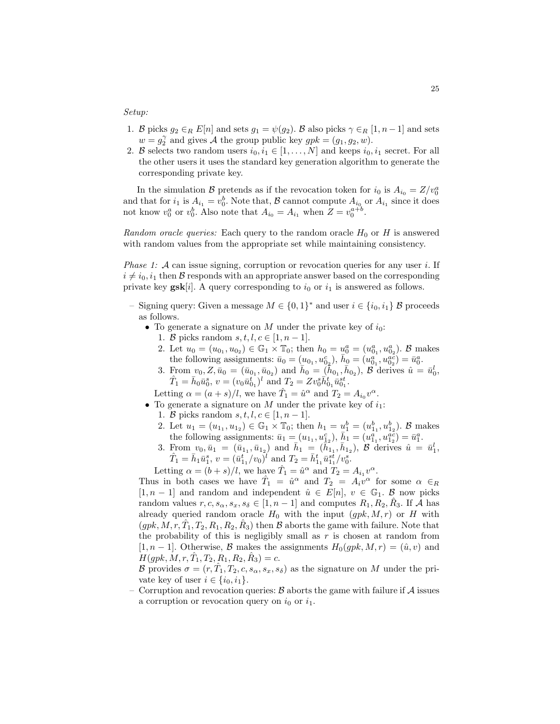#### Setup:

- 1. B picks  $g_2 \in_R E[n]$  and sets  $g_1 = \psi(g_2)$ . B also picks  $\gamma \in_R [1, n-1]$  and sets  $w = g_2^{\gamma}$  and gives A the group public key  $gpk = (g_1, g_2, w)$ .
- 2. B selects two random users  $i_0, i_1 \in [1, \ldots, N]$  and keeps  $i_0, i_1$  secret. For all the other users it uses the standard key generation algorithm to generate the corresponding private key.

In the simulation B pretends as if the revocation token for  $i_0$  is  $A_{i_0} = Z/v_0^a$ and that for  $i_1$  is  $A_{i_1} = v_0^b$ . Note that, B cannot compute  $A_{i_0}$  or  $A_{i_1}$  since it does not know  $v_0^a$  or  $v_0^b$ . Also note that  $A_{i_0} = A_{i_1}$  when  $Z = v_0^{a+b}$ .

Random oracle queries: Each query to the random oracle  $H_0$  or H is answered with random values from the appropriate set while maintaining consistency.

*Phase 1:*  $\mathcal A$  can issue signing, corruption or revocation queries for any user i. If  $i \neq i_0, i_1$  then B responds with an appropriate answer based on the corresponding private key  $\textbf{gsk}[i]$ . A query corresponding to  $i_0$  or  $i_1$  is answered as follows.

- Signing query: Given a message  $M \in \{0,1\}^*$  and user  $i \in \{i_0, i_1\}$  B proceeds as follows.
	- To generate a signature on M under the private key of  $i_0$ :
		- 1. B picks random  $s, t, l, c \in [1, n-1]$ .
		- 2. Let  $u_0 = (u_{0_1}, u_{0_2}) \in \mathbb{G}_1 \times \mathbb{T}_0$ ; then  $h_0 = u_0^a = (u_{0_1}^a, u_{0_2}^a)$ . B makes the following assignments:  $\bar{u}_0 = (u_{0_1}, u_{0_2}^c), \bar{h}_0 = (u_{0_1}^a, u_{0_2}^{ac}) = \bar{u}_0^a$ .
		- 3. From  $v_0, Z, \bar{u}_0 = (\bar{u}_{0_1}, \bar{u}_{0_2})$  and  $\bar{h}_0 = (\bar{h}_{0_1}, \bar{h}_{0_2}), \ \beta$  derives  $\hat{u} = \bar{u}_0^l$ ,  $\hat{T}_1 = \bar{h}_0 \bar{u}_0^s, v = (v_0 \bar{u}_{0_1}^t)^l$  and  $T_2 = Z v_0^s \bar{h}_{0_1}^t \bar{u}_{0_1}^{st}$ .

Letting  $\alpha = (a + s)/l$ , we have  $\hat{T}_1 = \hat{u}^\alpha$  and  $T_2 = A_{i_0} v^\alpha$ .

- To generate a signature on M under the private key of  $i_1$ :
	- 1. B picks random  $s, t, l, c \in [1, n-1]$ .
	- 2. Let  $u_1 = (u_{1_1}, u_{1_2}) \in \mathbb{G}_1 \times \mathbb{T}_0$ ; then  $h_1 = u_1^b = (u_{1_1}^b, u_{1_2}^b)$ . B makes the following assignments:  $\bar{u}_1 = (u_{1_1}, u_{1_2}^c), \bar{h}_1 = (u_{1_1}^a, u_{1_2}^{ac}) = \bar{u}_1^a$ .
	- 3. From  $v_0, \bar{u}_1 = (\bar{u}_{1_1}, \bar{u}_{1_2})$  and  $\bar{h}_1 = (\bar{h}_{1_1}, \bar{h}_{1_2}),$  B derives  $\hat{u} = \bar{u}_1^l$ ,  $\hat{T}_1 = \bar{h}_1 \bar{u}_1^s$ ,  $v = (\bar{u}_{1_1}^t/v_0)^t$  and  $T_2 = \bar{h}_{1_1}^t \bar{u}_{1_1}^{st}/v_0^s$ .

Letting  $\alpha = (b + s)/l$ , we have  $\hat{T}_1 = \hat{u}^\alpha$  and  $\hat{T}_2 = A_{i_1} v^\alpha$ .

Thus in both cases we have  $\hat{T}_1 = \hat{u}^\alpha$  and  $T_2 = A_i v^\alpha$  for some  $\alpha \in_R$ [1, n − 1] and random and independent  $\hat{u} \in E[n], v \in \mathbb{G}_1$ .  $\beta$  now picks random values  $r, c, s_\alpha, s_x, s_\delta \in [1, n-1]$  and computes  $R_1, R_2, \hat{R}_3$ . If A has already queried random oracle  $H_0$  with the input  $(gpk, M, r)$  or H with  $(gpk, M, r, \hat{T}_1, T_2, R_1, R_2, \hat{R}_3)$  then  $\beta$  aborts the game with failure. Note that the probability of this is negligibly small as  $r$  is chosen at random from [1, n – 1]. Otherwise, B makes the assignments  $H_0(qpk, M, r) = (\hat{u}, v)$  and  $H(gpk, M, r, \hat{T}_1, T_2, R_1, R_2, \hat{R}_3) = c.$ 

B provides  $\sigma = (r, \hat{T}_1, T_2, c, s_\alpha, s_x, s_\delta)$  as the signature on M under the private key of user  $i \in \{i_0, i_1\}.$ 

Corruption and revocation queries:  $\mathcal B$  aborts the game with failure if  $\mathcal A$  issues a corruption or revocation query on  $i_0$  or  $i_1$ .